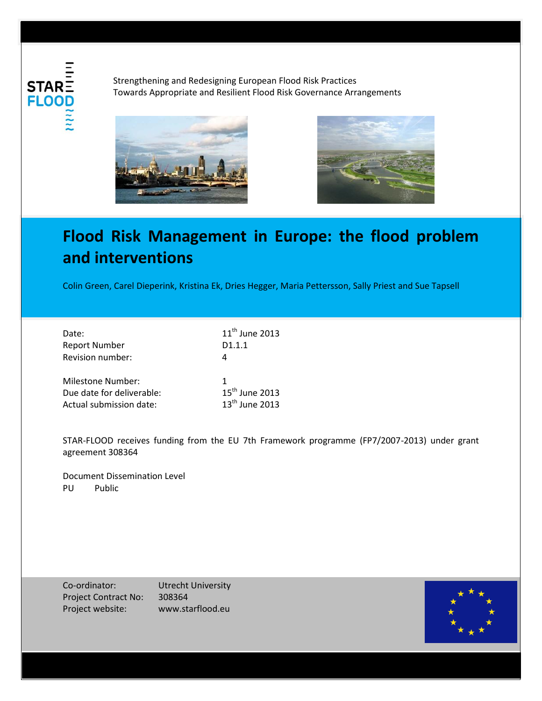**STAR FLOO** 

Strengthening and Redesigning European Flood Risk Practices Towards Appropriate and Resilient Flood Risk Governance Arrangements





## **Flood Risk Management in Europe: the flood problem and interventions**

Colin Green, Carel Dieperink, Kristina Ek, Dries Hegger, Maria Pettersson, Sally Priest and Sue Tapsell

| Date:                     | $11th$ June 2013 |
|---------------------------|------------------|
| <b>Report Number</b>      | D1.1.1           |
| Revision number:          |                  |
| <b>Milestone Number:</b>  |                  |
| Due date for deliverable: | $15th$ June 2013 |
| Actual submission date:   | $13th$ June 2013 |

STAR-FLOOD receives funding from the EU 7th Framework programme (FP7/2007-2013) under grant agreement 308364

Document Dissemination Level PU Public

Co-ordinator: Utrecht University Project Contract No: 308364 Project website: www.starflood.eu

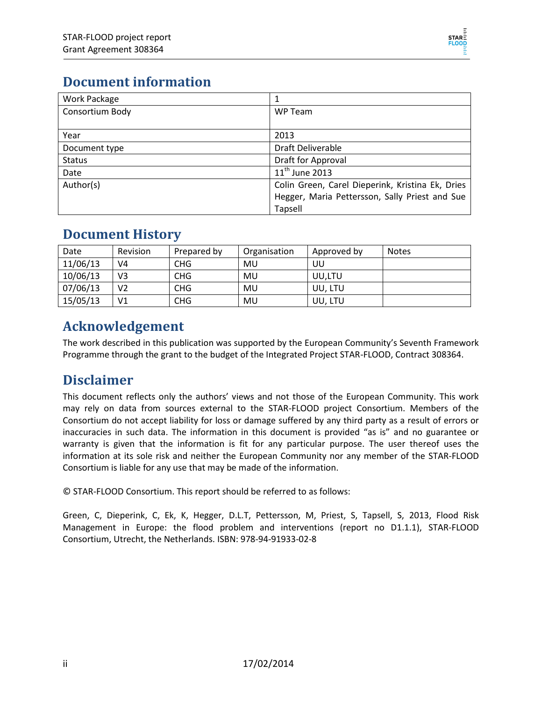

#### **Document information**

| Work Package    |                                                  |
|-----------------|--------------------------------------------------|
| Consortium Body | WP Team                                          |
|                 |                                                  |
| Year            | 2013                                             |
| Document type   | Draft Deliverable                                |
| <b>Status</b>   | Draft for Approval                               |
| Date            | $11^{th}$ June 2013                              |
| Author(s)       | Colin Green, Carel Dieperink, Kristina Ek, Dries |
|                 | Hegger, Maria Pettersson, Sally Priest and Sue   |
|                 | <b>Tapsell</b>                                   |

#### **Document History**

| Date     | <b>Revision</b> | Prepared by     | Organisation | Approved by | <b>Notes</b> |
|----------|-----------------|-----------------|--------------|-------------|--------------|
| 11/06/13 | V4              | CH <sub>G</sub> | MU           | UU          |              |
| 10/06/13 | V3              | CHG             | MU           | UU.LTU      |              |
| 07/06/13 | V2              | <b>CHG</b>      | MU           | UU, LTU     |              |
| 15/05/13 | V1              | <b>CHG</b>      | MU           | UU, LTU     |              |

#### **Acknowledgement**

The work described in this publication was supported by the European Community's Seventh Framework Programme through the grant to the budget of the Integrated Project STAR-FLOOD, Contract 308364.

#### **Disclaimer**

This document reflects only the authors' views and not those of the European Community. This work may rely on data from sources external to the STAR-FLOOD project Consortium. Members of the Consortium do not accept liability for loss or damage suffered by any third party as a result of errors or inaccuracies in such data. The information in this document is provided "as is" and no guarantee or warranty is given that the information is fit for any particular purpose. The user thereof uses the information at its sole risk and neither the European Community nor any member of the STAR-FLOOD Consortium is liable for any use that may be made of the information.

© STAR-FLOOD Consortium. This report should be referred to as follows:

Green, C, Dieperink, C, Ek, K, Hegger, D.L.T, Pettersson, M, Priest, S, Tapsell, S, 2013, Flood Risk Management in Europe: the flood problem and interventions (report no D1.1.1), STAR-FLOOD Consortium, Utrecht, the Netherlands. ISBN: 978-94-91933-02-8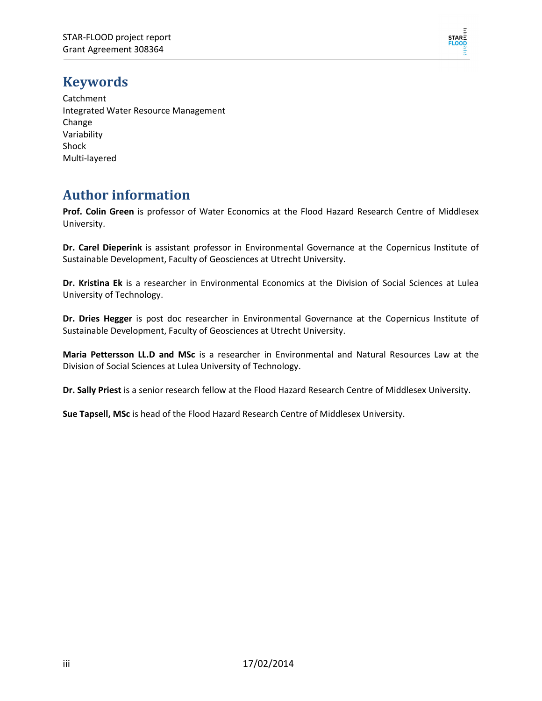

#### **Keywords**

Catchment Integrated Water Resource Management Change Variability Shock Multi-layered

#### **Author information**

**Prof. Colin Green** is professor of Water Economics at the Flood Hazard Research Centre of Middlesex University.

**Dr. Carel Dieperink** is assistant professor in Environmental Governance at the Copernicus Institute of Sustainable Development, Faculty of Geosciences at Utrecht University.

**Dr. Kristina Ek** is a researcher in Environmental Economics at the Division of Social Sciences at Lulea University of Technology.

**Dr. Dries Hegger** is post doc researcher in Environmental Governance at the Copernicus Institute of Sustainable Development, Faculty of Geosciences at Utrecht University.

**Maria Pettersson LL.D and MSc** is a researcher in Environmental and Natural Resources Law at the Division of Social Sciences at Lulea University of Technology.

**Dr. Sally Priest** is a senior research fellow at the Flood Hazard Research Centre of Middlesex University.

**Sue Tapsell, MSc** is head of the Flood Hazard Research Centre of Middlesex University.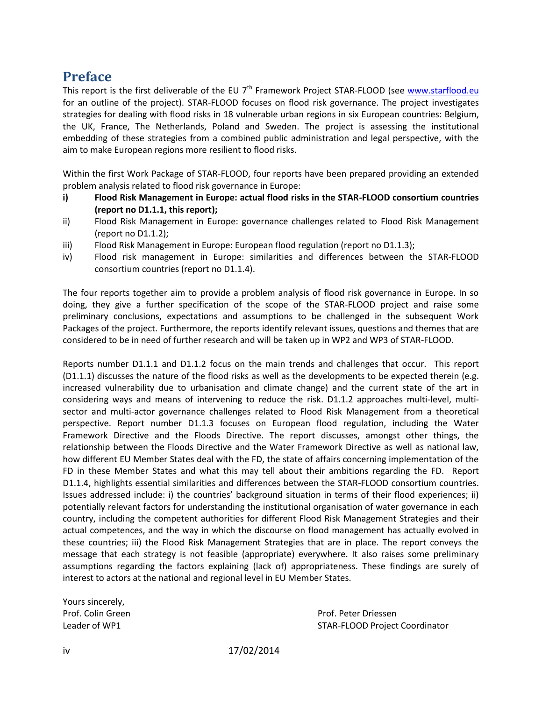#### **Preface**

This report is the first deliverable of the EU  $7<sup>th</sup>$  Framework Project STAR-FLOOD (see [www.starflood.eu](http://www.starflood.eu/) for an outline of the project). STAR-FLOOD focuses on flood risk governance. The project investigates strategies for dealing with flood risks in 18 vulnerable urban regions in six European countries: Belgium, the UK, France, The Netherlands, Poland and Sweden. The project is assessing the institutional embedding of these strategies from a combined public administration and legal perspective, with the aim to make European regions more resilient to flood risks.

Within the first Work Package of STAR-FLOOD, four reports have been prepared providing an extended problem analysis related to flood risk governance in Europe:

- **i) Flood Risk Management in Europe: actual flood risks in the STAR-FLOOD consortium countries (report no D1.1.1, this report);**
- ii) Flood Risk Management in Europe: governance challenges related to Flood Risk Management (report no D1.1.2);
- iii) Flood Risk Management in Europe: European flood regulation (report no D1.1.3);
- iv) Flood risk management in Europe: similarities and differences between the STAR-FLOOD consortium countries (report no D1.1.4).

The four reports together aim to provide a problem analysis of flood risk governance in Europe. In so doing, they give a further specification of the scope of the STAR-FLOOD project and raise some preliminary conclusions, expectations and assumptions to be challenged in the subsequent Work Packages of the project. Furthermore, the reports identify relevant issues, questions and themes that are considered to be in need of further research and will be taken up in WP2 and WP3 of STAR-FLOOD.

Reports number D1.1.1 and D1.1.2 focus on the main trends and challenges that occur. This report (D1.1.1) discusses the nature of the flood risks as well as the developments to be expected therein (e.g. increased vulnerability due to urbanisation and climate change) and the current state of the art in considering ways and means of intervening to reduce the risk. D1.1.2 approaches multi-level, multisector and multi-actor governance challenges related to Flood Risk Management from a theoretical perspective. Report number D1.1.3 focuses on European flood regulation, including the Water Framework Directive and the Floods Directive. The report discusses, amongst other things, the relationship between the Floods Directive and the Water Framework Directive as well as national law, how different EU Member States deal with the FD, the state of affairs concerning implementation of the FD in these Member States and what this may tell about their ambitions regarding the FD. Report D1.1.4, highlights essential similarities and differences between the STAR-FLOOD consortium countries. Issues addressed include: i) the countries' background situation in terms of their flood experiences; ii) potentially relevant factors for understanding the institutional organisation of water governance in each country, including the competent authorities for different Flood Risk Management Strategies and their actual competences, and the way in which the discourse on flood management has actually evolved in these countries; iii) the Flood Risk Management Strategies that are in place. The report conveys the message that each strategy is not feasible (appropriate) everywhere. It also raises some preliminary assumptions regarding the factors explaining (lack of) appropriateness. These findings are surely of interest to actors at the national and regional level in EU Member States.

Yours sincerely,

Prof. Colin Green **Prof. Prof. Peter Driessen** Leader of WP1 STAR-FLOOD Project Coordinator

iv 17/02/2014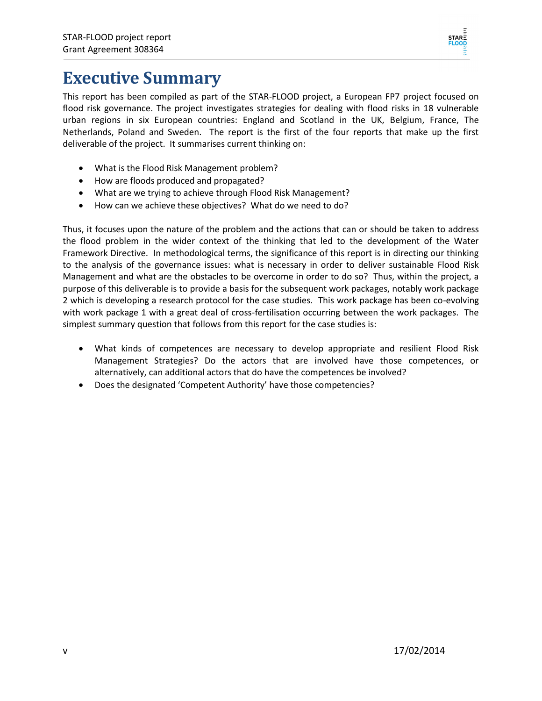

### **Executive Summary**

This report has been compiled as part of the STAR-FLOOD project, a European FP7 project focused on flood risk governance. The project investigates strategies for dealing with flood risks in 18 vulnerable urban regions in six European countries: England and Scotland in the UK, Belgium, France, The Netherlands, Poland and Sweden. The report is the first of the four reports that make up the first deliverable of the project. It summarises current thinking on:

- What is the Flood Risk Management problem?
- How are floods produced and propagated?
- What are we trying to achieve through Flood Risk Management?
- How can we achieve these objectives? What do we need to do?

Thus, it focuses upon the nature of the problem and the actions that can or should be taken to address the flood problem in the wider context of the thinking that led to the development of the Water Framework Directive. In methodological terms, the significance of this report is in directing our thinking to the analysis of the governance issues: what is necessary in order to deliver sustainable Flood Risk Management and what are the obstacles to be overcome in order to do so? Thus, within the project, a purpose of this deliverable is to provide a basis for the subsequent work packages, notably work package 2 which is developing a research protocol for the case studies. This work package has been co-evolving with work package 1 with a great deal of cross-fertilisation occurring between the work packages. The simplest summary question that follows from this report for the case studies is:

- What kinds of competences are necessary to develop appropriate and resilient Flood Risk Management Strategies? Do the actors that are involved have those competences, or alternatively, can additional actors that do have the competences be involved?
- Does the designated 'Competent Authority' have those competencies?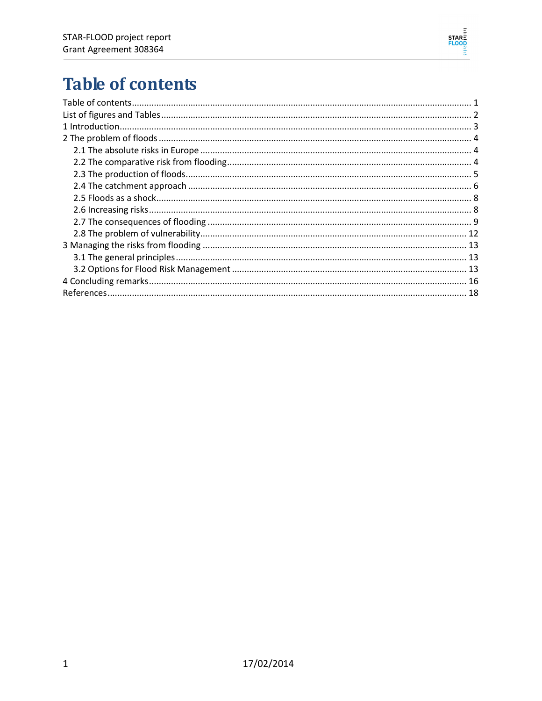

# <span id="page-6-0"></span>**Table of contents**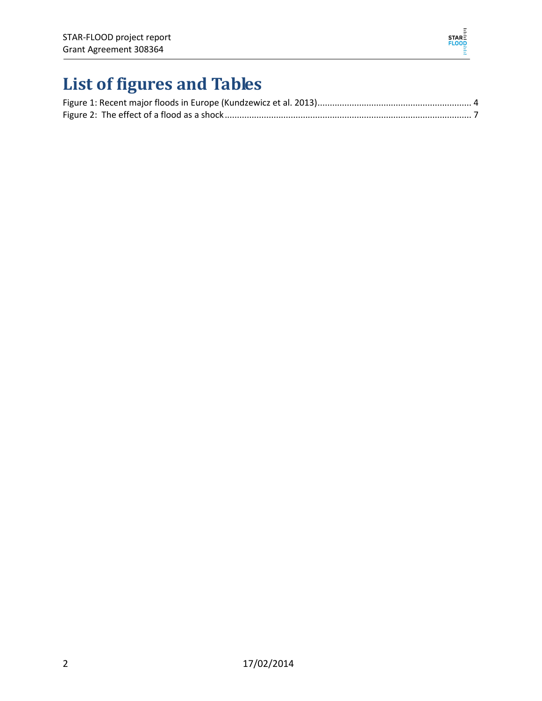

# <span id="page-7-0"></span>**List of figures and Tables**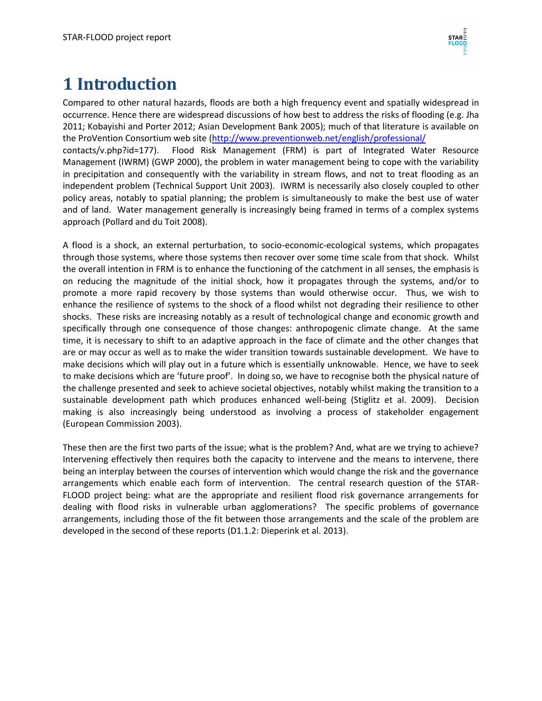## <span id="page-8-0"></span>**1 Introduction**

Compared to other natural hazards, floods are both a high frequency event and spatially widespread in occurrence. Hence there are widespread discussions of how best to address the risks of flooding (e.g. Jha 2011; Kobayishi and Porter 2012; Asian Development Bank 2005); much of that literature is available on the ProVention Consortium web site [\(http://www.preventionweb.net/english/professional/](http://www.preventionweb.net/english/professional/) contacts/v.php?id=177). Flood Risk Management (FRM) is part of Integrated Water Resource Management (IWRM) (GWP 2000), the problem in water management being to cope with the variability in precipitation and consequently with the variability in stream flows, and not to treat flooding as an independent problem (Technical Support Unit 2003). IWRM is necessarily also closely coupled to other policy areas, notably to spatial planning; the problem is simultaneously to make the best use of water and of land. Water management generally is increasingly being framed in terms of a complex systems approach (Pollard and du Toit 2008).

A flood is a shock, an external perturbation, to socio-economic-ecological systems, which propagates through those systems, where those systems then recover over some time scale from that shock. Whilst the overall intention in FRM is to enhance the functioning of the catchment in all senses, the emphasis is on reducing the magnitude of the initial shock, how it propagates through the systems, and/or to promote a more rapid recovery by those systems than would otherwise occur. Thus, we wish to enhance the resilience of systems to the shock of a flood whilst not degrading their resilience to other shocks. These risks are increasing notably as a result of technological change and economic growth and specifically through one consequence of those changes: anthropogenic climate change. At the same time, it is necessary to shift to an adaptive approach in the face of climate and the other changes that are or may occur as well as to make the wider transition towards sustainable development. We have to make decisions which will play out in a future which is essentially unknowable. Hence, we have to seek to make decisions which are 'future proof'. In doing so, we have to recognise both the physical nature of the challenge presented and seek to achieve societal objectives, notably whilst making the transition to a sustainable development path which produces enhanced well-being (Stiglitz et al. 2009). Decision making is also increasingly being understood as involving a process of stakeholder engagement (European Commission 2003).

These then are the first two parts of the issue; what is the problem? And, what are we trying to achieve? Intervening effectively then requires both the capacity to intervene and the means to intervene, there being an interplay between the courses of intervention which would change the risk and the governance arrangements which enable each form of intervention. The central research question of the STAR-FLOOD project being: what are the appropriate and resilient flood risk governance arrangements for dealing with flood risks in vulnerable urban agglomerations? The specific problems of governance arrangements, including those of the fit between those arrangements and the scale of the problem are developed in the second of these reports (D1.1.2: Dieperink et al. 2013).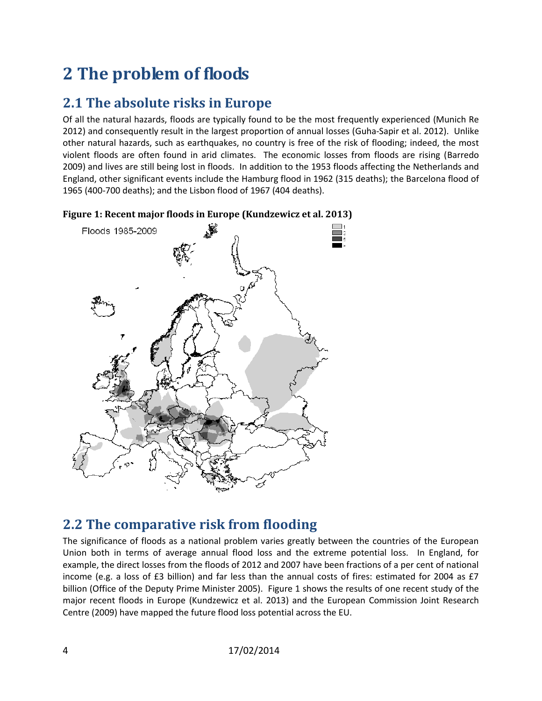# <span id="page-9-0"></span>**2 The problem of floods**

### <span id="page-9-1"></span>**2.1 The absolute risks in Europe**

Of all the natural hazards, floods are typically found to be the most frequently experienced (Munich Re 2012) and consequently result in the largest proportion of annual losses (Guha-Sapir et al. 2012). Unlike other natural hazards, such as earthquakes, no country is free of the risk of flooding; indeed, the most violent floods are often found in arid climates. The economic losses from floods are rising (Barredo 2009) and lives are still being lost in floods. In addition to the 1953 floods affecting the Netherlands and England, other significant events include the Hamburg flood in 1962 (315 deaths); the Barcelona flood of 1965 (400-700 deaths); and the Lisbon flood of 1967 (404 deaths).



<span id="page-9-3"></span>**Figure 1: Recent major floods in Europe (Kundzewicz et al. 2013)**

#### <span id="page-9-2"></span>**2.2 The comparative risk from flooding**

The significance of floods as a national problem varies greatly between the countries of the European Union both in terms of average annual flood loss and the extreme potential loss. In England, for example, the direct losses from the floods of 2012 and 2007 have been fractions of a per cent of national income (e.g. a loss of £3 billion) and far less than the annual costs of fires: estimated for 2004 as £7 billion (Office of the Deputy Prime Minister 2005). [Figure 1](#page-9-3) shows the results of one recent study of the major recent floods in Europe (Kundzewicz et al. 2013) and the European Commission Joint Research Centre (2009) have mapped the future flood loss potential across the EU.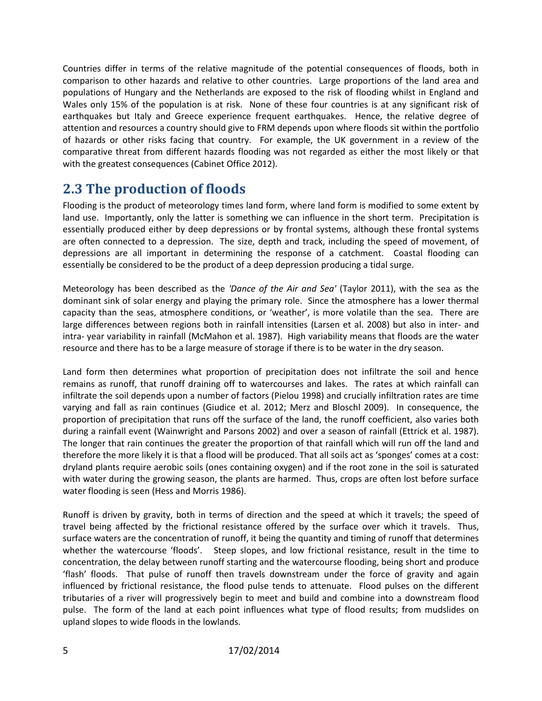Countries differ in terms of the relative magnitude of the potential consequences of floods, both in comparison to other hazards and relative to other countries. Large proportions of the land area and populations of Hungary and the Netherlands are exposed to the risk of flooding whilst in England and Wales only 15% of the population is at risk. None of these four countries is at any significant risk of earthquakes but Italy and Greece experience frequent earthquakes. Hence, the relative degree of attention and resources a country should give to FRM depends upon where floods sit within the portfolio of hazards or other risks facing that country. For example, the UK government in a review of the comparative threat from different hazards flooding was not regarded as either the most likely or that with the greatest consequences (Cabinet Office 2012).

#### <span id="page-10-0"></span>**2.3 The production of floods**

Flooding is the product of meteorology times land form, where land form is modified to some extent by land use. Importantly, only the latter is something we can influence in the short term. Precipitation is essentially produced either by deep depressions or by frontal systems, although these frontal systems are often connected to a depression. The size, depth and track, including the speed of movement, of depressions are all important in determining the response of a catchment. Coastal flooding can essentially be considered to be the product of a deep depression producing a tidal surge.

Meteorology has been described as the *'Dance of the Air and Sea'* (Taylor 2011), with the sea as the dominant sink of solar energy and playing the primary role. Since the atmosphere has a lower thermal capacity than the seas, atmosphere conditions, or 'weather', is more volatile than the sea. There are large differences between regions both in rainfall intensities (Larsen et al. 2008) but also in inter- and intra- year variability in rainfall (McMahon et al. 1987). High variability means that floods are the water resource and there has to be a large measure of storage if there is to be water in the dry season.

Land form then determines what proportion of precipitation does not infiltrate the soil and hence remains as runoff, that runoff draining off to watercourses and lakes. The rates at which rainfall can infiltrate the soil depends upon a number of factors (Pielou 1998) and crucially infiltration rates are time varying and fall as rain continues (Giudice et al. 2012; Merz and Bloschl 2009). In consequence, the proportion of precipitation that runs off the surface of the land, the runoff coefficient, also varies both during a rainfall event (Wainwright and Parsons 2002) and over a season of rainfall (Ettrick et al. 1987). The longer that rain continues the greater the proportion of that rainfall which will run off the land and therefore the more likely it is that a flood will be produced. That all soils act as 'sponges' comes at a cost: dryland plants require aerobic soils (ones containing oxygen) and if the root zone in the soil is saturated with water during the growing season, the plants are harmed. Thus, crops are often lost before surface water flooding is seen (Hess and Morris 1986).

Runoff is driven by gravity, both in terms of direction and the speed at which it travels; the speed of travel being affected by the frictional resistance offered by the surface over which it travels. Thus, surface waters are the concentration of runoff, it being the quantity and timing of runoff that determines whether the watercourse 'floods'. Steep slopes, and low frictional resistance, result in the time to concentration, the delay between runoff starting and the watercourse flooding, being short and produce 'flash' floods. That pulse of runoff then travels downstream under the force of gravity and again influenced by frictional resistance, the flood pulse tends to attenuate. Flood pulses on the different tributaries of a river will progressively begin to meet and build and combine into a downstream flood pulse. The form of the land at each point influences what type of flood results; from mudslides on upland slopes to wide floods in the lowlands.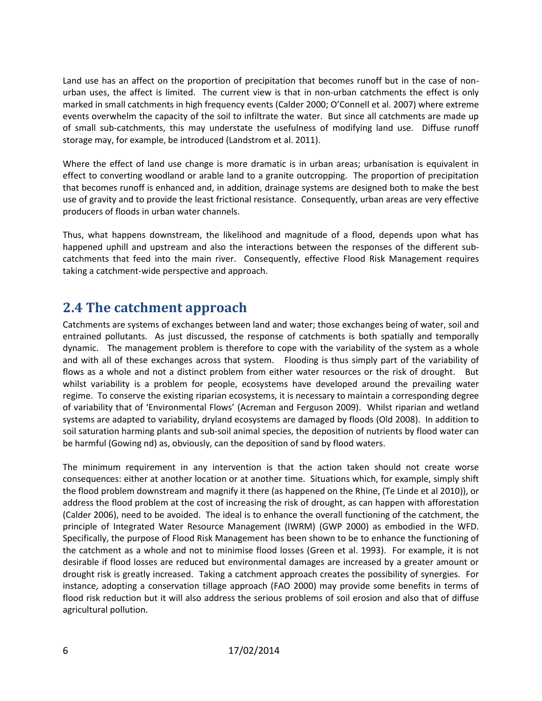Land use has an affect on the proportion of precipitation that becomes runoff but in the case of nonurban uses, the affect is limited. The current view is that in non-urban catchments the effect is only marked in small catchments in high frequency events (Calder 2000; O'Connell et al. 2007) where extreme events overwhelm the capacity of the soil to infiltrate the water. But since all catchments are made up of small sub-catchments, this may understate the usefulness of modifying land use. Diffuse runoff storage may, for example, be introduced (Landstrom et al. 2011).

Where the effect of land use change is more dramatic is in urban areas; urbanisation is equivalent in effect to converting woodland or arable land to a granite outcropping. The proportion of precipitation that becomes runoff is enhanced and, in addition, drainage systems are designed both to make the best use of gravity and to provide the least frictional resistance. Consequently, urban areas are very effective producers of floods in urban water channels.

Thus, what happens downstream, the likelihood and magnitude of a flood, depends upon what has happened uphill and upstream and also the interactions between the responses of the different subcatchments that feed into the main river. Consequently, effective Flood Risk Management requires taking a catchment-wide perspective and approach.

#### <span id="page-11-0"></span>**2.4 The catchment approach**

Catchments are systems of exchanges between land and water; those exchanges being of water, soil and entrained pollutants. As just discussed, the response of catchments is both spatially and temporally dynamic. The management problem is therefore to cope with the variability of the system as a whole and with all of these exchanges across that system. Flooding is thus simply part of the variability of flows as a whole and not a distinct problem from either water resources or the risk of drought. But whilst variability is a problem for people, ecosystems have developed around the prevailing water regime. To conserve the existing riparian ecosystems, it is necessary to maintain a corresponding degree of variability that of 'Environmental Flows' (Acreman and Ferguson 2009). Whilst riparian and wetland systems are adapted to variability, dryland ecosystems are damaged by floods (Old 2008). In addition to soil saturation harming plants and sub-soil animal species, the deposition of nutrients by flood water can be harmful (Gowing nd) as, obviously, can the deposition of sand by flood waters.

The minimum requirement in any intervention is that the action taken should not create worse consequences: either at another location or at another time. Situations which, for example, simply shift the flood problem downstream and magnify it there (as happened on the Rhine, (Te Linde et al 2010)), or address the flood problem at the cost of increasing the risk of drought, as can happen with afforestation (Calder 2006), need to be avoided. The ideal is to enhance the overall functioning of the catchment, the principle of Integrated Water Resource Management (IWRM) (GWP 2000) as embodied in the WFD. Specifically, the purpose of Flood Risk Management has been shown to be to enhance the functioning of the catchment as a whole and not to minimise flood losses (Green et al. 1993). For example, it is not desirable if flood losses are reduced but environmental damages are increased by a greater amount or drought risk is greatly increased. Taking a catchment approach creates the possibility of synergies. For instance, adopting a conservation tillage approach (FAO 2000) may provide some benefits in terms of flood risk reduction but it will also address the serious problems of soil erosion and also that of diffuse agricultural pollution.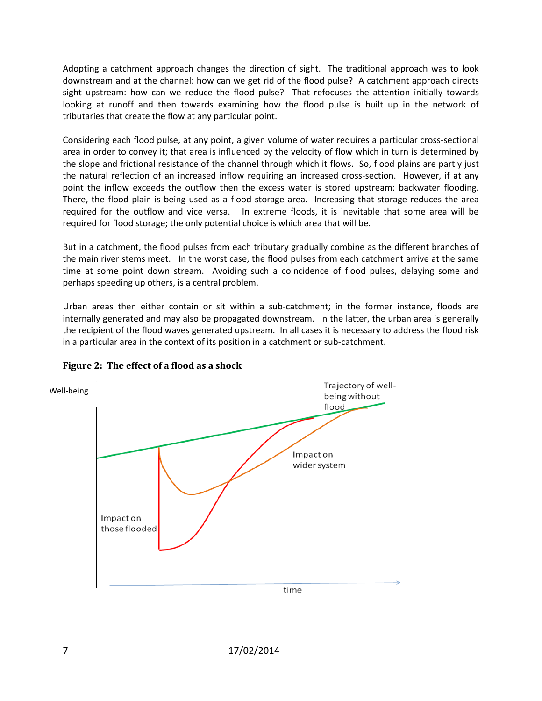Adopting a catchment approach changes the direction of sight. The traditional approach was to look downstream and at the channel: how can we get rid of the flood pulse? A catchment approach directs sight upstream: how can we reduce the flood pulse? That refocuses the attention initially towards looking at runoff and then towards examining how the flood pulse is built up in the network of tributaries that create the flow at any particular point.

Considering each flood pulse, at any point, a given volume of water requires a particular cross-sectional area in order to convey it; that area is influenced by the velocity of flow which in turn is determined by the slope and frictional resistance of the channel through which it flows. So, flood plains are partly just the natural reflection of an increased inflow requiring an increased cross-section. However, if at any point the inflow exceeds the outflow then the excess water is stored upstream: backwater flooding. There, the flood plain is being used as a flood storage area. Increasing that storage reduces the area required for the outflow and vice versa. In extreme floods, it is inevitable that some area will be required for flood storage; the only potential choice is which area that will be.

But in a catchment, the flood pulses from each tributary gradually combine as the different branches of the main river stems meet. In the worst case, the flood pulses from each catchment arrive at the same time at some point down stream. Avoiding such a coincidence of flood pulses, delaying some and perhaps speeding up others, is a central problem.

Urban areas then either contain or sit within a sub-catchment; in the former instance, floods are internally generated and may also be propagated downstream. In the latter, the urban area is generally the recipient of the flood waves generated upstream. In all cases it is necessary to address the flood risk in a particular area in the context of its position in a catchment or sub-catchment.



<span id="page-12-0"></span>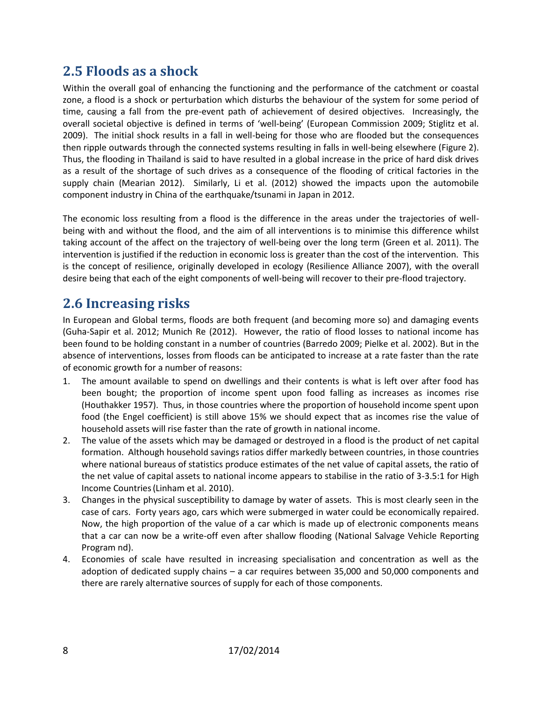#### <span id="page-13-0"></span>**2.5 Floods as a shock**

Within the overall goal of enhancing the functioning and the performance of the catchment or coastal zone, a flood is a shock or perturbation which disturbs the behaviour of the system for some period of time, causing a fall from the pre-event path of achievement of desired objectives. Increasingly, the overall societal objective is defined in terms of 'well-being' (European Commission 2009; Stiglitz et al. 2009). The initial shock results in a fall in well-being for those who are flooded but the consequences then ripple outwards through the connected systems resulting in falls in well-being elsewhere [\(Figure 2\)](#page-12-0). Thus, the flooding in Thailand is said to have resulted in a global increase in the price of hard disk drives as a result of the shortage of such drives as a consequence of the flooding of critical factories in the supply chain (Mearian 2012). Similarly, Li et al. (2012) showed the impacts upon the automobile component industry in China of the earthquake/tsunami in Japan in 2012.

The economic loss resulting from a flood is the difference in the areas under the trajectories of wellbeing with and without the flood, and the aim of all interventions is to minimise this difference whilst taking account of the affect on the trajectory of well-being over the long term (Green et al. 2011). The intervention is justified if the reduction in economic loss is greater than the cost of the intervention. This is the concept of resilience, originally developed in ecology (Resilience Alliance 2007), with the overall desire being that each of the eight components of well-being will recover to their pre-flood trajectory.

#### <span id="page-13-1"></span>**2.6 Increasing risks**

In European and Global terms, floods are both frequent (and becoming more so) and damaging events (Guha-Sapir et al. 2012; Munich Re (2012). However, the ratio of flood losses to national income has been found to be holding constant in a number of countries (Barredo 2009; Pielke et al. 2002). But in the absence of interventions, losses from floods can be anticipated to increase at a rate faster than the rate of economic growth for a number of reasons:

- 1. The amount available to spend on dwellings and their contents is what is left over after food has been bought; the proportion of income spent upon food falling as increases as incomes rise (Houthakker 1957). Thus, in those countries where the proportion of household income spent upon food (the Engel coefficient) is still above 15% we should expect that as incomes rise the value of household assets will rise faster than the rate of growth in national income.
- 2. The value of the assets which may be damaged or destroyed in a flood is the product of net capital formation. Although household savings ratios differ markedly between countries, in those countries where national bureaus of statistics produce estimates of the net value of capital assets, the ratio of the net value of capital assets to national income appears to stabilise in the ratio of 3-3.5:1 for High Income Countries(Linham et al. 2010).
- 3. Changes in the physical susceptibility to damage by water of assets. This is most clearly seen in the case of cars. Forty years ago, cars which were submerged in water could be economically repaired. Now, the high proportion of the value of a car which is made up of electronic components means that a car can now be a write-off even after shallow flooding (National Salvage Vehicle Reporting Program nd).
- 4. Economies of scale have resulted in increasing specialisation and concentration as well as the adoption of dedicated supply chains – a car requires between 35,000 and 50,000 components and there are rarely alternative sources of supply for each of those components.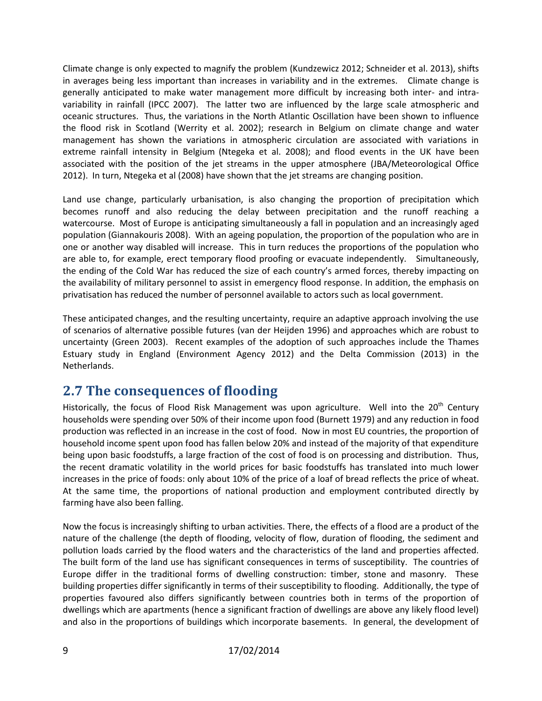Climate change is only expected to magnify the problem (Kundzewicz 2012; Schneider et al. 2013), shifts in averages being less important than increases in variability and in the extremes. Climate change is generally anticipated to make water management more difficult by increasing both inter- and intravariability in rainfall (IPCC 2007). The latter two are influenced by the large scale atmospheric and oceanic structures. Thus, the variations in the North Atlantic Oscillation have been shown to influence the flood risk in Scotland (Werrity et al. 2002); research in Belgium on climate change and water management has shown the variations in atmospheric circulation are associated with variations in extreme rainfall intensity in Belgium (Ntegeka et al. 2008); and flood events in the UK have been associated with the position of the jet streams in the upper atmosphere (JBA/Meteorological Office 2012). In turn, Ntegeka et al (2008) have shown that the jet streams are changing position.

Land use change, particularly urbanisation, is also changing the proportion of precipitation which becomes runoff and also reducing the delay between precipitation and the runoff reaching a watercourse. Most of Europe is anticipating simultaneously a fall in population and an increasingly aged population (Giannakouris 2008). With an ageing population, the proportion of the population who are in one or another way disabled will increase. This in turn reduces the proportions of the population who are able to, for example, erect temporary flood proofing or evacuate independently. Simultaneously, the ending of the Cold War has reduced the size of each country's armed forces, thereby impacting on the availability of military personnel to assist in emergency flood response. In addition, the emphasis on privatisation has reduced the number of personnel available to actors such as local government.

These anticipated changes, and the resulting uncertainty, require an adaptive approach involving the use of scenarios of alternative possible futures (van der Heijden 1996) and approaches which are robust to uncertainty (Green 2003). Recent examples of the adoption of such approaches include the Thames Estuary study in England (Environment Agency 2012) and the Delta Commission (2013) in the Netherlands.

#### <span id="page-14-0"></span>**2.7 The consequences of flooding**

Historically, the focus of Flood Risk Management was upon agriculture. Well into the 20<sup>th</sup> Century households were spending over 50% of their income upon food (Burnett 1979) and any reduction in food production was reflected in an increase in the cost of food. Now in most EU countries, the proportion of household income spent upon food has fallen below 20% and instead of the majority of that expenditure being upon basic foodstuffs, a large fraction of the cost of food is on processing and distribution. Thus, the recent dramatic volatility in the world prices for basic foodstuffs has translated into much lower increases in the price of foods: only about 10% of the price of a loaf of bread reflects the price of wheat. At the same time, the proportions of national production and employment contributed directly by farming have also been falling.

Now the focus is increasingly shifting to urban activities. There, the effects of a flood are a product of the nature of the challenge (the depth of flooding, velocity of flow, duration of flooding, the sediment and pollution loads carried by the flood waters and the characteristics of the land and properties affected. The built form of the land use has significant consequences in terms of susceptibility. The countries of Europe differ in the traditional forms of dwelling construction: timber, stone and masonry. These building properties differ significantly in terms of their susceptibility to flooding. Additionally, the type of properties favoured also differs significantly between countries both in terms of the proportion of dwellings which are apartments (hence a significant fraction of dwellings are above any likely flood level) and also in the proportions of buildings which incorporate basements. In general, the development of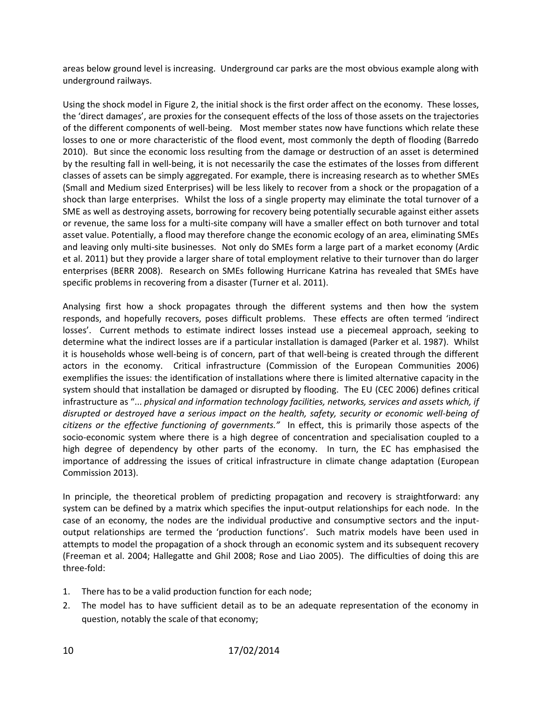areas below ground level is increasing. Underground car parks are the most obvious example along with underground railways.

Using the shock model in Figure 2, the initial shock is the first order affect on the economy. These losses, the 'direct damages', are proxies for the consequent effects of the loss of those assets on the trajectories of the different components of well-being. Most member states now have functions which relate these losses to one or more characteristic of the flood event, most commonly the depth of flooding (Barredo 2010). But since the economic loss resulting from the damage or destruction of an asset is determined by the resulting fall in well-being, it is not necessarily the case the estimates of the losses from different classes of assets can be simply aggregated. For example, there is increasing research as to whether SMEs (Small and Medium sized Enterprises) will be less likely to recover from a shock or the propagation of a shock than large enterprises. Whilst the loss of a single property may eliminate the total turnover of a SME as well as destroying assets, borrowing for recovery being potentially securable against either assets or revenue, the same loss for a multi-site company will have a smaller effect on both turnover and total asset value. Potentially, a flood may therefore change the economic ecology of an area, eliminating SMEs and leaving only multi-site businesses. Not only do SMEs form a large part of a market economy (Ardic et al. 2011) but they provide a larger share of total employment relative to their turnover than do larger enterprises (BERR 2008). Research on SMEs following Hurricane Katrina has revealed that SMEs have specific problems in recovering from a disaster (Turner et al. 2011).

Analysing first how a shock propagates through the different systems and then how the system responds, and hopefully recovers, poses difficult problems. These effects are often termed 'indirect losses'. Current methods to estimate indirect losses instead use a piecemeal approach, seeking to determine what the indirect losses are if a particular installation is damaged (Parker et al. 1987). Whilst it is households whose well-being is of concern, part of that well-being is created through the different actors in the economy. Critical infrastructure (Commission of the European Communities 2006) exemplifies the issues: the identification of installations where there is limited alternative capacity in the system should that installation be damaged or disrupted by flooding. The EU (CEC 2006) defines critical infrastructure as "... *physical and information technology facilities, networks, services and assets which, if disrupted or destroyed have a serious impact on the health, safety, security or economic well-being of citizens or the effective functioning of governments."* In effect, this is primarily those aspects of the socio-economic system where there is a high degree of concentration and specialisation coupled to a high degree of dependency by other parts of the economy. In turn, the EC has emphasised the importance of addressing the issues of critical infrastructure in climate change adaptation (European Commission 2013).

In principle, the theoretical problem of predicting propagation and recovery is straightforward: any system can be defined by a matrix which specifies the input-output relationships for each node. In the case of an economy, the nodes are the individual productive and consumptive sectors and the inputoutput relationships are termed the 'production functions'. Such matrix models have been used in attempts to model the propagation of a shock through an economic system and its subsequent recovery (Freeman et al. 2004; Hallegatte and Ghil 2008; Rose and Liao 2005). The difficulties of doing this are three-fold:

- 1. There has to be a valid production function for each node;
- 2. The model has to have sufficient detail as to be an adequate representation of the economy in question, notably the scale of that economy;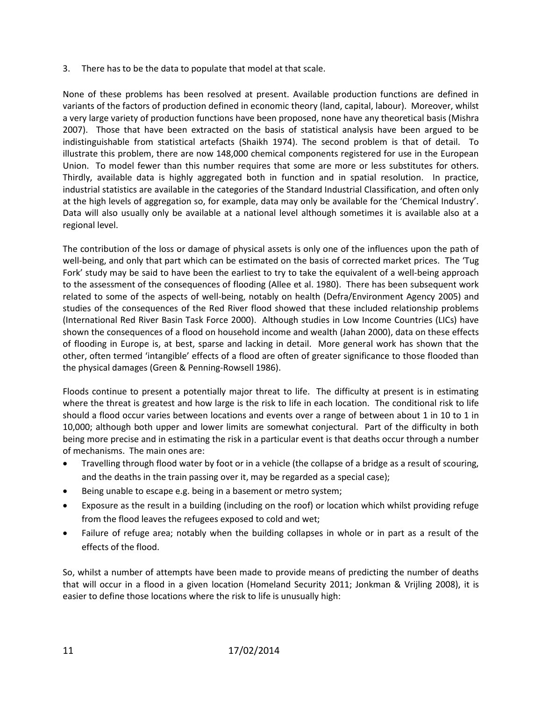3. There has to be the data to populate that model at that scale.

None of these problems has been resolved at present. Available production functions are defined in variants of the factors of production defined in economic theory (land, capital, labour). Moreover, whilst a very large variety of production functions have been proposed, none have any theoretical basis (Mishra 2007). Those that have been extracted on the basis of statistical analysis have been argued to be indistinguishable from statistical artefacts (Shaikh 1974). The second problem is that of detail. To illustrate this problem, there are now 148,000 chemical components registered for use in the European Union. To model fewer than this number requires that some are more or less substitutes for others. Thirdly, available data is highly aggregated both in function and in spatial resolution. In practice, industrial statistics are available in the categories of the Standard Industrial Classification, and often only at the high levels of aggregation so, for example, data may only be available for the 'Chemical Industry'. Data will also usually only be available at a national level although sometimes it is available also at a regional level.

The contribution of the loss or damage of physical assets is only one of the influences upon the path of well-being, and only that part which can be estimated on the basis of corrected market prices. The 'Tug Fork' study may be said to have been the earliest to try to take the equivalent of a well-being approach to the assessment of the consequences of flooding (Allee et al. 1980). There has been subsequent work related to some of the aspects of well-being, notably on health (Defra/Environment Agency 2005) and studies of the consequences of the Red River flood showed that these included relationship problems (International Red River Basin Task Force 2000). Although studies in Low Income Countries (LICs) have shown the consequences of a flood on household income and wealth (Jahan 2000), data on these effects of flooding in Europe is, at best, sparse and lacking in detail. More general work has shown that the other, often termed 'intangible' effects of a flood are often of greater significance to those flooded than the physical damages (Green & Penning-Rowsell 1986).

Floods continue to present a potentially major threat to life. The difficulty at present is in estimating where the threat is greatest and how large is the risk to life in each location. The conditional risk to life should a flood occur varies between locations and events over a range of between about 1 in 10 to 1 in 10,000; although both upper and lower limits are somewhat conjectural. Part of the difficulty in both being more precise and in estimating the risk in a particular event is that deaths occur through a number of mechanisms. The main ones are:

- Travelling through flood water by foot or in a vehicle (the collapse of a bridge as a result of scouring, and the deaths in the train passing over it, may be regarded as a special case);
- Being unable to escape e.g. being in a basement or metro system;
- Exposure as the result in a building (including on the roof) or location which whilst providing refuge from the flood leaves the refugees exposed to cold and wet;
- Failure of refuge area; notably when the building collapses in whole or in part as a result of the effects of the flood.

So, whilst a number of attempts have been made to provide means of predicting the number of deaths that will occur in a flood in a given location (Homeland Security 2011; Jonkman & Vrijling 2008), it is easier to define those locations where the risk to life is unusually high: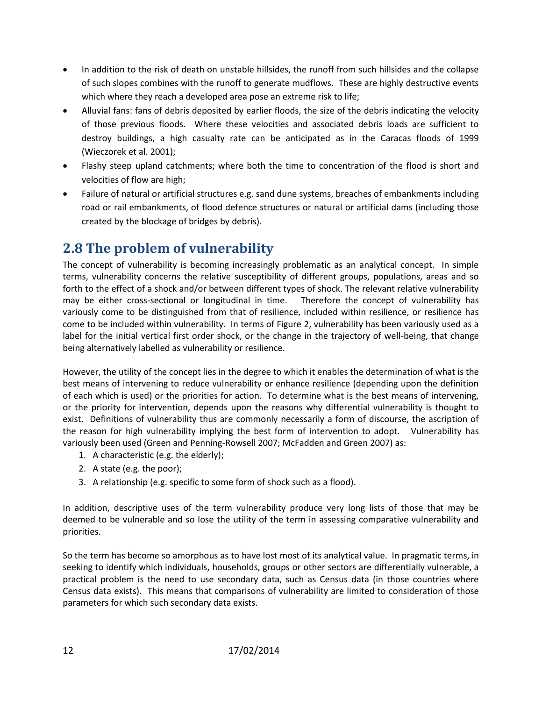- In addition to the risk of death on unstable hillsides, the runoff from such hillsides and the collapse of such slopes combines with the runoff to generate mudflows. These are highly destructive events which where they reach a developed area pose an extreme risk to life;
- Alluvial fans: fans of debris deposited by earlier floods, the size of the debris indicating the velocity of those previous floods. Where these velocities and associated debris loads are sufficient to destroy buildings, a high casualty rate can be anticipated as in the Caracas floods of 1999 (Wieczorek et al. 2001);
- Flashy steep upland catchments; where both the time to concentration of the flood is short and velocities of flow are high;
- Failure of natural or artificial structures e.g. sand dune systems, breaches of embankments including road or rail embankments, of flood defence structures or natural or artificial dams (including those created by the blockage of bridges by debris).

### <span id="page-17-0"></span>**2.8 The problem of vulnerability**

The concept of vulnerability is becoming increasingly problematic as an analytical concept. In simple terms, vulnerability concerns the relative susceptibility of different groups, populations, areas and so forth to the effect of a shock and/or between different types of shock. The relevant relative vulnerability may be either cross-sectional or longitudinal in time. Therefore the concept of vulnerability has variously come to be distinguished from that of resilience, included within resilience, or resilience has come to be included within vulnerability. In terms of Figure 2, vulnerability has been variously used as a label for the initial vertical first order shock, or the change in the trajectory of well-being, that change being alternatively labelled as vulnerability or resilience.

However, the utility of the concept lies in the degree to which it enables the determination of what is the best means of intervening to reduce vulnerability or enhance resilience (depending upon the definition of each which is used) or the priorities for action. To determine what is the best means of intervening, or the priority for intervention, depends upon the reasons why differential vulnerability is thought to exist. Definitions of vulnerability thus are commonly necessarily a form of discourse, the ascription of the reason for high vulnerability implying the best form of intervention to adopt. Vulnerability has variously been used (Green and Penning-Rowsell 2007; McFadden and Green 2007) as:

- 1. A characteristic (e.g. the elderly);
- 2. A state (e.g. the poor);
- 3. A relationship (e.g. specific to some form of shock such as a flood).

In addition, descriptive uses of the term vulnerability produce very long lists of those that may be deemed to be vulnerable and so lose the utility of the term in assessing comparative vulnerability and priorities.

So the term has become so amorphous as to have lost most of its analytical value. In pragmatic terms, in seeking to identify which individuals, households, groups or other sectors are differentially vulnerable, a practical problem is the need to use secondary data, such as Census data (in those countries where Census data exists). This means that comparisons of vulnerability are limited to consideration of those parameters for which such secondary data exists.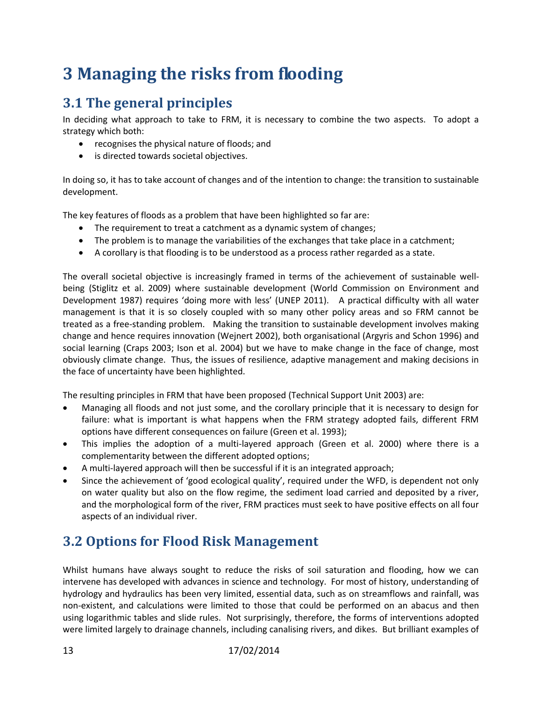## <span id="page-18-0"></span>**3 Managing the risks from flooding**

### <span id="page-18-1"></span>**3.1 The general principles**

In deciding what approach to take to FRM, it is necessary to combine the two aspects. To adopt a strategy which both:

- recognises the physical nature of floods; and
- is directed towards societal objectives.

In doing so, it has to take account of changes and of the intention to change: the transition to sustainable development.

The key features of floods as a problem that have been highlighted so far are:

- The requirement to treat a catchment as a dynamic system of changes;
- The problem is to manage the variabilities of the exchanges that take place in a catchment;
- A corollary is that flooding is to be understood as a process rather regarded as a state.

The overall societal objective is increasingly framed in terms of the achievement of sustainable wellbeing (Stiglitz et al. 2009) where sustainable development (World Commission on Environment and Development 1987) requires 'doing more with less' (UNEP 2011). A practical difficulty with all water management is that it is so closely coupled with so many other policy areas and so FRM cannot be treated as a free-standing problem. Making the transition to sustainable development involves making change and hence requires innovation (Wejnert 2002), both organisational (Argyris and Schon 1996) and social learning (Craps 2003; Ison et al. 2004) but we have to make change in the face of change, most obviously climate change. Thus, the issues of resilience, adaptive management and making decisions in the face of uncertainty have been highlighted.

The resulting principles in FRM that have been proposed (Technical Support Unit 2003) are:

- Managing all floods and not just some, and the corollary principle that it is necessary to design for failure: what is important is what happens when the FRM strategy adopted fails, different FRM options have different consequences on failure (Green et al. 1993);
- This implies the adoption of a multi-layered approach (Green et al. 2000) where there is a complementarity between the different adopted options;
- A multi-layered approach will then be successful if it is an integrated approach;
- Since the achievement of 'good ecological quality', required under the WFD, is dependent not only on water quality but also on the flow regime, the sediment load carried and deposited by a river, and the morphological form of the river, FRM practices must seek to have positive effects on all four aspects of an individual river.

### <span id="page-18-2"></span>**3.2 Options for Flood Risk Management**

Whilst humans have always sought to reduce the risks of soil saturation and flooding, how we can intervene has developed with advances in science and technology. For most of history, understanding of hydrology and hydraulics has been very limited, essential data, such as on streamflows and rainfall, was non-existent, and calculations were limited to those that could be performed on an abacus and then using logarithmic tables and slide rules. Not surprisingly, therefore, the forms of interventions adopted were limited largely to drainage channels, including canalising rivers, and dikes. But brilliant examples of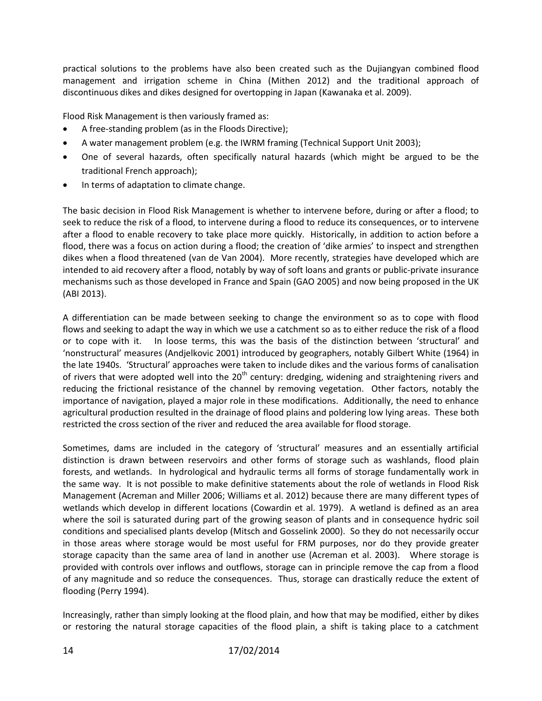practical solutions to the problems have also been created such as the Dujiangyan combined flood management and irrigation scheme in China (Mithen 2012) and the traditional approach of discontinuous dikes and dikes designed for overtopping in Japan (Kawanaka et al. 2009).

Flood Risk Management is then variously framed as:

- A free-standing problem (as in the Floods Directive);
- A water management problem (e.g. the IWRM framing (Technical Support Unit 2003);
- One of several hazards, often specifically natural hazards (which might be argued to be the traditional French approach);
- In terms of adaptation to climate change.

The basic decision in Flood Risk Management is whether to intervene before, during or after a flood; to seek to reduce the risk of a flood, to intervene during a flood to reduce its consequences, or to intervene after a flood to enable recovery to take place more quickly. Historically, in addition to action before a flood, there was a focus on action during a flood; the creation of 'dike armies' to inspect and strengthen dikes when a flood threatened (van de Van 2004). More recently, strategies have developed which are intended to aid recovery after a flood, notably by way of soft loans and grants or public-private insurance mechanisms such as those developed in France and Spain (GAO 2005) and now being proposed in the UK (ABI 2013).

A differentiation can be made between seeking to change the environment so as to cope with flood flows and seeking to adapt the way in which we use a catchment so as to either reduce the risk of a flood or to cope with it. In loose terms, this was the basis of the distinction between 'structural' and 'nonstructural' measures (Andjelkovic 2001) introduced by geographers, notably Gilbert White (1964) in the late 1940s. 'Structural' approaches were taken to include dikes and the various forms of canalisation of rivers that were adopted well into the  $20<sup>th</sup>$  century: dredging, widening and straightening rivers and reducing the frictional resistance of the channel by removing vegetation. Other factors, notably the importance of navigation, played a major role in these modifications. Additionally, the need to enhance agricultural production resulted in the drainage of flood plains and poldering low lying areas. These both restricted the cross section of the river and reduced the area available for flood storage.

Sometimes, dams are included in the category of 'structural' measures and an essentially artificial distinction is drawn between reservoirs and other forms of storage such as washlands, flood plain forests, and wetlands. In hydrological and hydraulic terms all forms of storage fundamentally work in the same way. It is not possible to make definitive statements about the role of wetlands in Flood Risk Management (Acreman and Miller 2006; Williams et al. 2012) because there are many different types of wetlands which develop in different locations (Cowardin et al. 1979). A wetland is defined as an area where the soil is saturated during part of the growing season of plants and in consequence hydric soil conditions and specialised plants develop (Mitsch and Gosselink 2000). So they do not necessarily occur in those areas where storage would be most useful for FRM purposes, nor do they provide greater storage capacity than the same area of land in another use (Acreman et al. 2003). Where storage is provided with controls over inflows and outflows, storage can in principle remove the cap from a flood of any magnitude and so reduce the consequences. Thus, storage can drastically reduce the extent of flooding (Perry 1994).

Increasingly, rather than simply looking at the flood plain, and how that may be modified, either by dikes or restoring the natural storage capacities of the flood plain, a shift is taking place to a catchment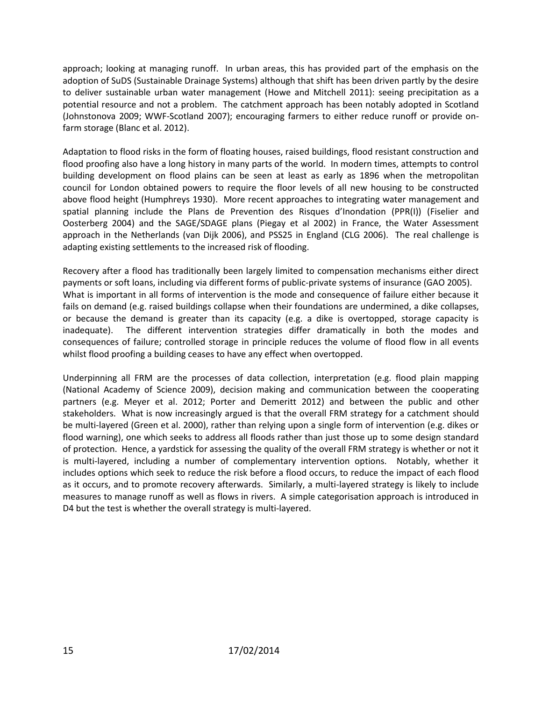approach; looking at managing runoff. In urban areas, this has provided part of the emphasis on the adoption of SuDS (Sustainable Drainage Systems) although that shift has been driven partly by the desire to deliver sustainable urban water management (Howe and Mitchell 2011): seeing precipitation as a potential resource and not a problem. The catchment approach has been notably adopted in Scotland (Johnstonova 2009; WWF-Scotland 2007); encouraging farmers to either reduce runoff or provide onfarm storage (Blanc et al. 2012).

Adaptation to flood risks in the form of floating houses, raised buildings, flood resistant construction and flood proofing also have a long history in many parts of the world. In modern times, attempts to control building development on flood plains can be seen at least as early as 1896 when the metropolitan council for London obtained powers to require the floor levels of all new housing to be constructed above flood height (Humphreys 1930). More recent approaches to integrating water management and spatial planning include the Plans de Prevention des Risques d'Inondation (PPR(I)) (Fiselier and Oosterberg 2004) and the SAGE/SDAGE plans (Piegay et al 2002) in France, the Water Assessment approach in the Netherlands (van Dijk 2006), and PSS25 in England (CLG 2006). The real challenge is adapting existing settlements to the increased risk of flooding.

Recovery after a flood has traditionally been largely limited to compensation mechanisms either direct payments or soft loans, including via different forms of public-private systems of insurance (GAO 2005). What is important in all forms of intervention is the mode and consequence of failure either because it fails on demand (e.g. raised buildings collapse when their foundations are undermined, a dike collapses, or because the demand is greater than its capacity (e.g. a dike is overtopped, storage capacity is inadequate). The different intervention strategies differ dramatically in both the modes and consequences of failure; controlled storage in principle reduces the volume of flood flow in all events whilst flood proofing a building ceases to have any effect when overtopped.

Underpinning all FRM are the processes of data collection, interpretation (e.g. flood plain mapping (National Academy of Science 2009), decision making and communication between the cooperating partners (e.g. Meyer et al. 2012; Porter and Demeritt 2012) and between the public and other stakeholders. What is now increasingly argued is that the overall FRM strategy for a catchment should be multi-layered (Green et al. 2000), rather than relying upon a single form of intervention (e.g. dikes or flood warning), one which seeks to address all floods rather than just those up to some design standard of protection. Hence, a yardstick for assessing the quality of the overall FRM strategy is whether or not it is multi-layered, including a number of complementary intervention options. Notably, whether it includes options which seek to reduce the risk before a flood occurs, to reduce the impact of each flood as it occurs, and to promote recovery afterwards. Similarly, a multi-layered strategy is likely to include measures to manage runoff as well as flows in rivers. A simple categorisation approach is introduced in D4 but the test is whether the overall strategy is multi-layered.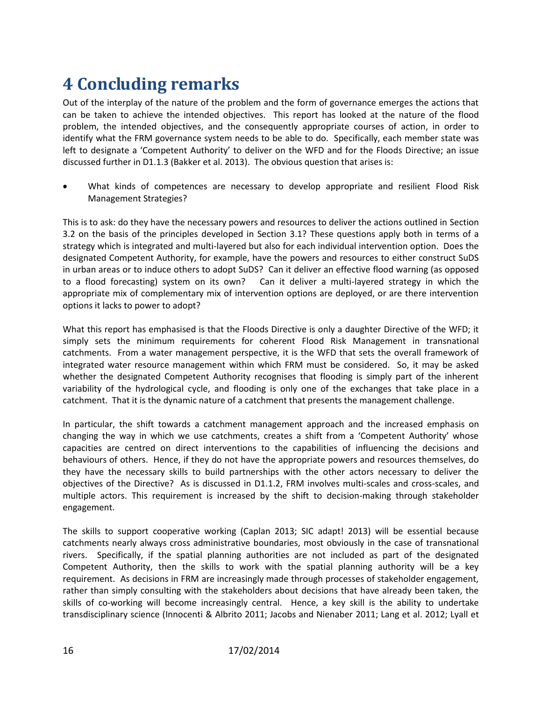# <span id="page-21-0"></span>**4 Concluding remarks**

Out of the interplay of the nature of the problem and the form of governance emerges the actions that can be taken to achieve the intended objectives. This report has looked at the nature of the flood problem, the intended objectives, and the consequently appropriate courses of action, in order to identify what the FRM governance system needs to be able to do. Specifically, each member state was left to designate a 'Competent Authority' to deliver on the WFD and for the Floods Directive; an issue discussed further in D1.1.3 (Bakker et al. 2013). The obvious question that arises is:

 What kinds of competences are necessary to develop appropriate and resilient Flood Risk Management Strategies?

This is to ask: do they have the necessary powers and resources to deliver the actions outlined in Section 3.2 on the basis of the principles developed in Section 3.1? These questions apply both in terms of a strategy which is integrated and multi-layered but also for each individual intervention option. Does the designated Competent Authority, for example, have the powers and resources to either construct SuDS in urban areas or to induce others to adopt SuDS? Can it deliver an effective flood warning (as opposed to a flood forecasting) system on its own? Can it deliver a multi-layered strategy in which the appropriate mix of complementary mix of intervention options are deployed, or are there intervention options it lacks to power to adopt?

What this report has emphasised is that the Floods Directive is only a daughter Directive of the WFD; it simply sets the minimum requirements for coherent Flood Risk Management in transnational catchments. From a water management perspective, it is the WFD that sets the overall framework of integrated water resource management within which FRM must be considered. So, it may be asked whether the designated Competent Authority recognises that flooding is simply part of the inherent variability of the hydrological cycle, and flooding is only one of the exchanges that take place in a catchment. That it is the dynamic nature of a catchment that presents the management challenge.

In particular, the shift towards a catchment management approach and the increased emphasis on changing the way in which we use catchments, creates a shift from a 'Competent Authority' whose capacities are centred on direct interventions to the capabilities of influencing the decisions and behaviours of others. Hence, if they do not have the appropriate powers and resources themselves, do they have the necessary skills to build partnerships with the other actors necessary to deliver the objectives of the Directive? As is discussed in D1.1.2, FRM involves multi-scales and cross-scales, and multiple actors. This requirement is increased by the shift to decision-making through stakeholder engagement.

The skills to support cooperative working (Caplan 2013; SIC adapt! 2013) will be essential because catchments nearly always cross administrative boundaries, most obviously in the case of transnational rivers. Specifically, if the spatial planning authorities are not included as part of the designated Competent Authority, then the skills to work with the spatial planning authority will be a key requirement. As decisions in FRM are increasingly made through processes of stakeholder engagement, rather than simply consulting with the stakeholders about decisions that have already been taken, the skills of co-working will become increasingly central. Hence, a key skill is the ability to undertake transdisciplinary science (Innocenti & Albrito 2011; Jacobs and Nienaber 2011; Lang et al. 2012; Lyall et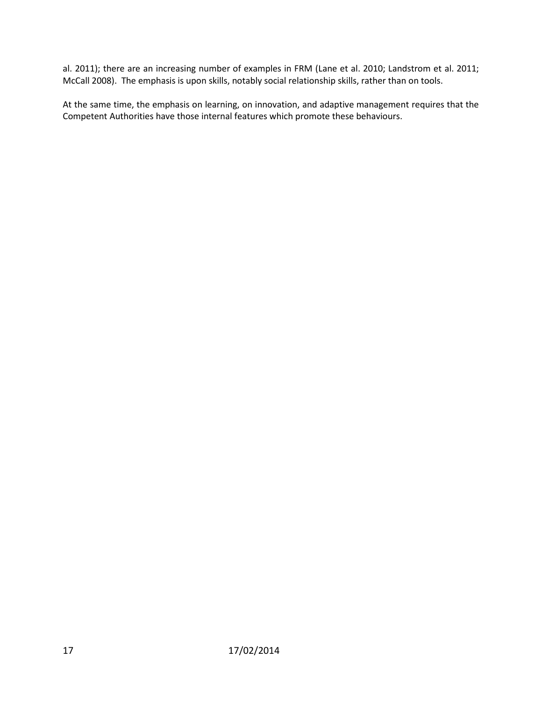al. 2011); there are an increasing number of examples in FRM (Lane et al. 2010; Landstrom et al. 2011; McCall 2008). The emphasis is upon skills, notably social relationship skills, rather than on tools.

At the same time, the emphasis on learning, on innovation, and adaptive management requires that the Competent Authorities have those internal features which promote these behaviours.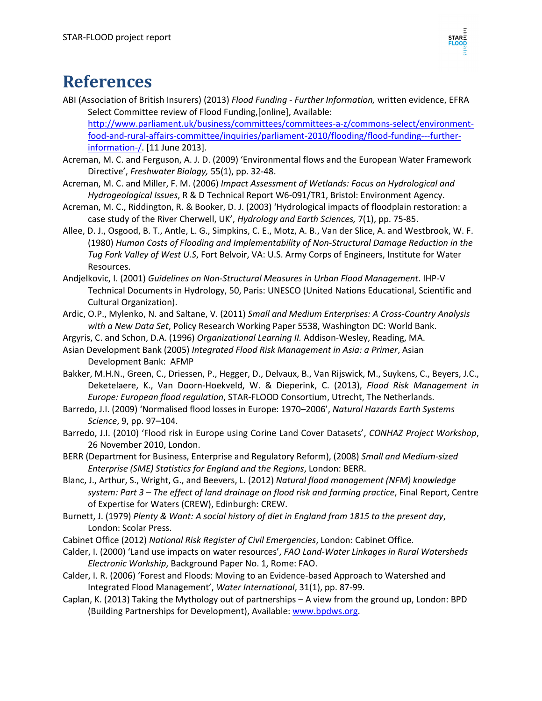

### <span id="page-23-0"></span>**References**

- ABI (Association of British Insurers) (2013) *Flood Funding - Further Information,* written evidence, EFRA Select Committee review of Flood Funding,[online], Available: [http://www.parliament.uk/business/committees/committees-a-z/commons-select/environment](http://www.parliament.uk/business/committees/committees-a-z/commons-select/environment-food-and-rural-affairs-committee/inquiries/parliament-2010/flooding/flood-funding---further-information-/)[food-and-rural-affairs-committee/inquiries/parliament-2010/flooding/flood-funding---further](http://www.parliament.uk/business/committees/committees-a-z/commons-select/environment-food-and-rural-affairs-committee/inquiries/parliament-2010/flooding/flood-funding---further-information-/)[information-/.](http://www.parliament.uk/business/committees/committees-a-z/commons-select/environment-food-and-rural-affairs-committee/inquiries/parliament-2010/flooding/flood-funding---further-information-/) [11 June 2013].
- Acreman, M. C. and Ferguson, A. J. D. (2009) 'Environmental flows and the European Water Framework Directive', *Freshwater Biology,* 55(1), pp. 32-48.
- Acreman, M. C. and Miller, F. M. (2006) *Impact Assessment of Wetlands: Focus on Hydrological and Hydrogeological Issues*, R & D Technical Report W6-091/TR1, Bristol: Environment Agency.
- Acreman, M. C., Riddington, R. & Booker, D. J. (2003) 'Hydrological impacts of floodplain restoration: a case study of the River Cherwell, UK', *Hydrology and Earth Sciences,* 7(1), pp. 75-85.
- Allee, D. J., Osgood, B. T., Antle, L. G., Simpkins, C. E., Motz, A. B., Van der Slice, A. and Westbrook, W. F. (1980) *Human Costs of Flooding and Implementability of Non-Structural Damage Reduction in the Tug Fork Valley of West U.S*, Fort Belvoir, VA: U.S. Army Corps of Engineers, Institute for Water Resources.
- Andjelkovic, I. (2001) *Guidelines on Non-Structural Measures in Urban Flood Management*. IHP-V Technical Documents in Hydrology, 50, Paris: UNESCO (United Nations Educational, Scientific and Cultural Organization).
- Ardic, O.P., Mylenko, N. and Saltane, V. (2011) *Small and Medium Enterprises: A Cross-Country Analysis with a New Data Set*, Policy Research Working Paper 5538, Washington DC: World Bank.
- Argyris, C. and Schon, D.A. (1996) *Organizational Learning II.* Addison-Wesley, Reading, MA.
- Asian Development Bank (2005) *Integrated Flood Risk Management in Asia: a Primer*, Asian Development Bank: AFMP
- Bakker, M.H.N., Green, C., Driessen, P., Hegger, D., Delvaux, B., Van Rijswick, M., Suykens, C., Beyers, J.C., Deketelaere, K., Van Doorn-Hoekveld, W. & Dieperink, C. (2013), *Flood Risk Management in Europe: European flood regulation*, STAR-FLOOD Consortium, Utrecht, The Netherlands.
- Barredo, J.I. (2009) 'Normalised flood losses in Europe: 1970–2006', *Natural Hazards Earth Systems Science*, 9, pp. 97–104.
- Barredo, J.I. (2010) 'Flood risk in Europe using Corine Land Cover Datasets', *CONHAZ Project Workshop*, 26 November 2010, London.
- BERR (Department for Business, Enterprise and Regulatory Reform), (2008) *Small and Medium-sized Enterprise (SME) Statistics for England and the Regions*, London: BERR.
- Blanc, J., Arthur, S., Wright, G., and Beevers, L. (2012) *Natural flood management (NFM) knowledge system: Part 3 – The effect of land drainage on flood risk and farming practice*, Final Report, Centre of Expertise for Waters (CREW), Edinburgh: CREW.
- Burnett, J. (1979) *Plenty & Want: A social history of diet in England from 1815 to the present day*, London: Scolar Press.
- Cabinet Office (2012) *National Risk Register of Civil Emergencies*, London: Cabinet Office.
- Calder, I. (2000) 'Land use impacts on water resources', *FAO Land-Water Linkages in Rural Watersheds Electronic Workship*, Background Paper No. 1, Rome: FAO.
- Calder, I. R. (2006) 'Forest and Floods: Moving to an Evidence-based Approach to Watershed and Integrated Flood Management', *Water International*, 31(1), pp. 87-99.
- Caplan, K. (2013) Taking the Mythology out of partnerships A view from the ground up, London: BPD (Building Partnerships for Development), Available[: www.bpdws.org.](http://www.bpdws.org/)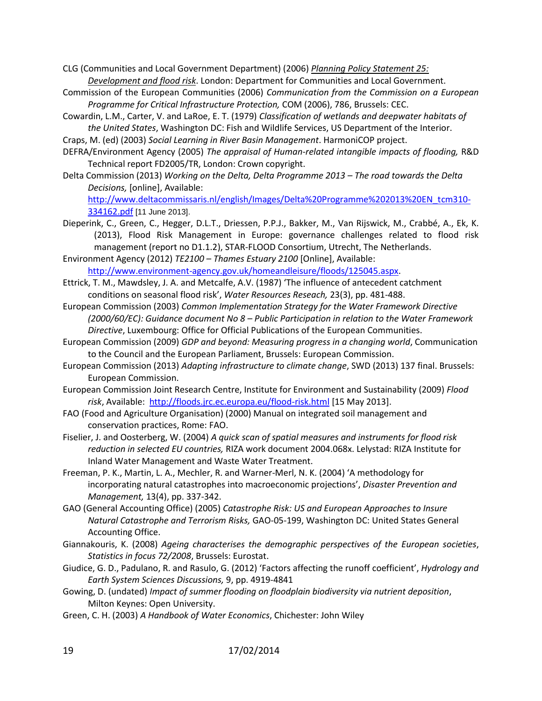CLG (Communities and Local Government Department) (2006) *Planning Policy Statement 25: Development and flood risk*. London: Department for Communities and Local Government.

- Commission of the European Communities (2006) *Communication from the Commission on a European Programme for Critical Infrastructure Protection,* COM (2006), 786, Brussels: CEC.
- Cowardin, L.M., Carter, V. and LaRoe, E. T. (1979) *Classification of wetlands and deepwater habitats of the United States*, Washington DC: Fish and Wildlife Services, US Department of the Interior.
- Craps, M. (ed) (2003) *Social Learning in River Basin Management*. HarmoniCOP project.
- DEFRA/Environment Agency (2005) *The appraisal of Human-related intangible impacts of flooding,* R&D Technical report FD2005/TR, London: Crown copyright.
- Delta Commission (2013) *Working on the Delta, Delta Programme 2013 – The road towards the Delta Decisions,* [online], Available:

[http://www.deltacommissaris.nl/english/Images/Delta%20Programme%202013%20EN\\_tcm310-](http://www.deltacommissaris.nl/english/Images/Delta%20Programme%202013%20EN_tcm310-334162.pdf) [334162.pdf](http://www.deltacommissaris.nl/english/Images/Delta%20Programme%202013%20EN_tcm310-334162.pdf) [11 June 2013].

- Dieperink, C., Green, C., Hegger, D.L.T., Driessen, P.P.J., Bakker, M., Van Rijswick, M., Crabbé, A., Ek, K. (2013), Flood Risk Management in Europe: governance challenges related to flood risk management (report no D1.1.2), STAR-FLOOD Consortium, Utrecht, The Netherlands.
- Environment Agency (2012) *TE2100 – Thames Estuary 2100* [Online], Available: [http://www.environment-agency.gov.uk/homeandleisure/floods/125045.aspx.](http://www.environment-agency.gov.uk/homeandleisure/floods/125045.aspx)
- Ettrick, T. M., Mawdsley, J. A. and Metcalfe, A.V. (1987) 'The influence of antecedent catchment conditions on seasonal flood risk', *Water Resources Reseach,* 23(3), pp. 481-488.
- European Commission (2003) *Common Implementation Strategy for the Water Framework Directive (2000/60/EC): Guidance document No 8 – Public Participation in relation to the Water Framework Directive*, Luxembourg: Office for Official Publications of the European Communities.
- European Commission (2009) *GDP and beyond: Measuring progress in a changing world*, Communication to the Council and the European Parliament, Brussels: European Commission.
- European Commission (2013) *Adapting infrastructure to climate change*, SWD (2013) 137 final. Brussels: European Commission.
- European Commission Joint Research Centre, Institute for Environment and Sustainability (2009) *Flood risk*, Available:<http://floods.jrc.ec.europa.eu/flood-risk.html> [15 May 2013].
- FAO (Food and Agriculture Organisation) (2000) Manual on integrated soil management and conservation practices, Rome: FAO.
- Fiselier, J. and Oosterberg, W. (2004) *A quick scan of spatial measures and instruments for flood risk reduction in selected EU countries,* RIZA work document 2004.068x. Lelystad: RIZA Institute for Inland Water Management and Waste Water Treatment.
- Freeman, P. K., Martin, L. A., Mechler, R. and Warner-Merl, N. K. (2004) 'A methodology for incorporating natural catastrophes into macroeconomic projections', *Disaster Prevention and Management,* 13(4), pp. 337-342.
- GAO (General Accounting Office) (2005) *Catastrophe Risk: US and European Approaches to Insure Natural Catastrophe and Terrorism Risks,* GAO-05-199, Washington DC: United States General Accounting Office.
- Giannakouris, K. (2008) *Ageing characterises the demographic perspectives of the European societies*, *Statistics in focus 72/2008*, Brussels: Eurostat.
- Giudice, G. D., Padulano, R. and Rasulo, G. (2012) 'Factors affecting the runoff coefficient', *Hydrology and Earth System Sciences Discussions,* 9, pp. 4919-4841
- Gowing, D. (undated) *Impact of summer flooding on floodplain biodiversity via nutrient deposition*, Milton Keynes: Open University.
- Green, C. H. (2003) *A Handbook of Water Economics*, Chichester: John Wiley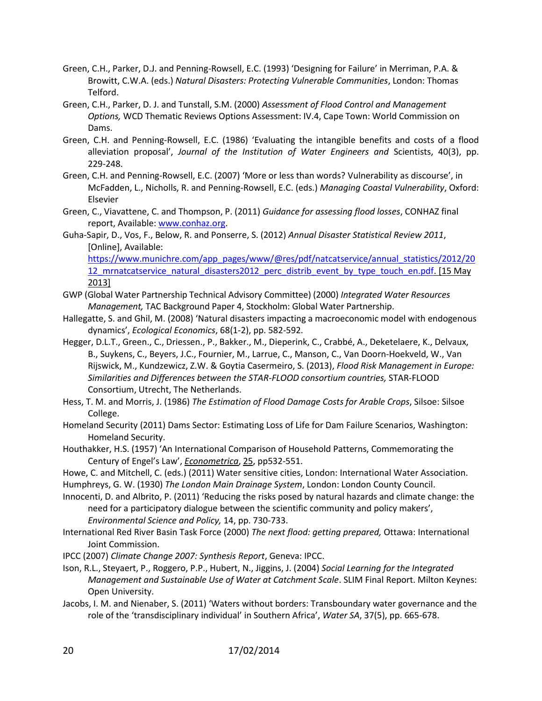- Green, C.H., Parker, D.J. and Penning-Rowsell, E.C. (1993) 'Designing for Failure' in Merriman, P.A. & Browitt, C.W.A. (eds.) *Natural Disasters: Protecting Vulnerable Communities*, London: Thomas Telford.
- Green, C.H., Parker, D. J. and Tunstall, S.M. (2000) *Assessment of Flood Control and Management Options,* WCD Thematic Reviews Options Assessment: IV.4, Cape Town: World Commission on Dams.
- Green, C.H. and Penning-Rowsell, E.C. (1986) 'Evaluating the intangible benefits and costs of a flood alleviation proposal', *Journal of the Institution of Water Engineers and* Scientists, 40(3), pp. 229-248.
- Green, C.H. and Penning-Rowsell, E.C. (2007) 'More or less than words? Vulnerability as discourse', in McFadden, L., Nicholls, R. and Penning-Rowsell, E.C. (eds.) *Managing Coastal Vulnerability*, Oxford: Elsevier
- Green, C., Viavattene, C. and Thompson, P. (2011) *Guidance for assessing flood losses*, CONHAZ final report, Available: [www.conhaz.org.](http://www.conhaz.org/)
- Guha-Sapir, D., Vos, F., Below, R. and Ponserre, S. (2012) *Annual Disaster Statistical Review 2011*, [Online], Available:

[https://www.munichre.com/app\\_pages/www/@res/pdf/natcatservice/annual\\_statistics/2012/20](https://www.munichre.com/app_pages/www/@res/pdf/natcatservice/annual_statistics/2012/2012_mrnatcatservice_natural_disasters2012_perc_distrib_event_by_type_touch_en.pdf) 12 mrnatcatservice natural disasters2012 perc distrib event by type touch en.pdf. [15 May 2013]

- GWP (Global Water Partnership Technical Advisory Committee) (2000) *Integrated Water Resources Management,* TAC Background Paper 4, Stockholm: Global Water Partnership.
- Hallegatte, S. and Ghil, M. (2008) 'Natural disasters impacting a macroeconomic model with endogenous dynamics', *Ecological Economics*, 68(1-2), pp. 582-592.
- Hegger, D.L.T., Green., C., Driessen., P., Bakker., M., Dieperink, C., Crabbé, A., Deketelaere, K., Delvaux, B., Suykens, C., Beyers, J.C., Fournier, M., Larrue, C., Manson, C., Van Doorn-Hoekveld, W., Van Rijswick, M., Kundzewicz, Z.W. & Goytia Casermeiro, S. (2013), *Flood Risk Management in Europe: Similarities and Differences between the STAR-FLOOD consortium countries,* STAR-FLOOD Consortium, Utrecht, The Netherlands.
- Hess, T. M. and Morris, J. (1986) *The Estimation of Flood Damage Costs for Arable Crops*, Silsoe: Silsoe College.
- Homeland Security (2011) Dams Sector: Estimating Loss of Life for Dam Failure Scenarios, Washington: Homeland Security.
- Houthakker, H.S. (1957) 'An International Comparison of Household Patterns, Commemorating the Century of Engel's Law', *Econometrica*, 25, pp532-551.
- Howe, C. and Mitchell, C. (eds.) (2011) Water sensitive cities, London: International Water Association.
- Humphreys, G. W. (1930) *The London Main Drainage System*, London: London County Council.
- Innocenti, D. and Albrito, P. (2011) 'Reducing the risks posed by natural hazards and climate change: the need for a participatory dialogue between the scientific community and policy makers', *Environmental Science and Policy,* 14, pp. 730-733.
- International Red River Basin Task Force (2000) *The next flood: getting prepared,* Ottawa: International Joint Commission.
- IPCC (2007) *Climate Change 2007: Synthesis Report*, Geneva: IPCC.
- Ison, R.L., Steyaert, P., Roggero, P.P., Hubert, N., Jiggins, J. (2004) *Social Learning for the Integrated Management and Sustainable Use of Water at Catchment Scale*. SLIM Final Report. Milton Keynes: Open University.
- Jacobs, I. M. and Nienaber, S. (2011) 'Waters without borders: Transboundary water governance and the role of the 'transdisciplinary individual' in Southern Africa', *Water SA*, 37(5), pp. 665-678.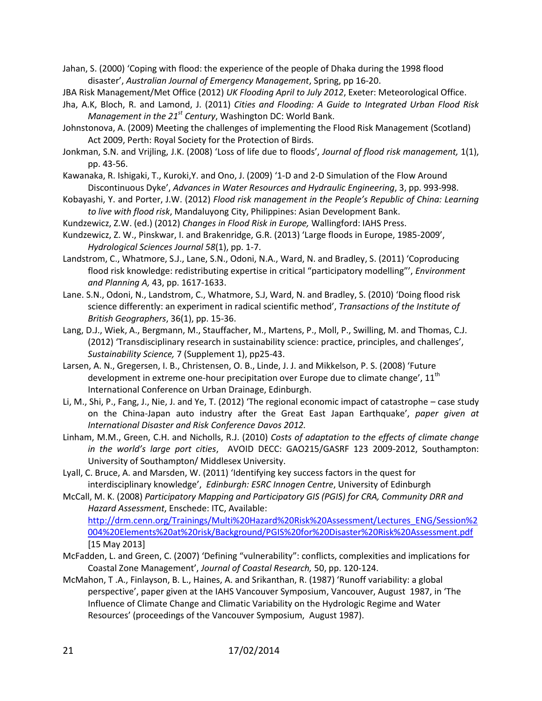Jahan, S. (2000) 'Coping with flood: the experience of the people of Dhaka during the 1998 flood disaster', *Australian Journal of Emergency Management*, Spring, pp 16-20.

JBA Risk Management/Met Office (2012) *UK Flooding April to July 2012*, Exeter: Meteorological Office.

- Jha, A.K, Bloch, R. and Lamond, J. (2011) *Cities and Flooding: A Guide to Integrated Urban Flood Risk Management in the 21st Century*, Washington DC: World Bank.
- Johnstonova, A. (2009) Meeting the challenges of implementing the Flood Risk Management (Scotland) Act 2009, Perth: Royal Society for the Protection of Birds.

Jonkman, S.N. and Vrijling, J.K. (2008) 'Loss of life due to floods', *Journal of flood risk management,* 1(1), pp. 43-56.

Kawanaka, R. Ishigaki, T., Kuroki,Y. and Ono, J. (2009) '1-D and 2-D Simulation of the Flow Around Discontinuous Dyke', *Advances in Water Resources and Hydraulic Engineering*, 3, pp. 993-998.

Kobayashi, Y. and Porter, J.W. (2012) *Flood risk management in the People's Republic of China: Learning to live with flood risk*, Mandaluyong City, Philippines: Asian Development Bank.

Kundzewicz, Z.W. (ed.) (2012) *Changes in Flood Risk in Europe,* Wallingford: IAHS Press.

- Landstrom, C., Whatmore, S.J., Lane, S.N., Odoni, N.A., Ward, N. and Bradley, S. (2011) 'Coproducing flood risk knowledge: redistributing expertise in critical "participatory modelling"', *Environment and Planning A,* 43, pp. 1617-1633.
- Lane. S.N., Odoni, N., Landstrom, C., Whatmore, S.J, Ward, N. and Bradley, S. (2010) 'Doing flood risk science differently: an experiment in radical scientific method', *Transactions of the Institute of British Geographers*, 36(1), pp. 15-36.
- Lang, D.J., Wiek, A., Bergmann, M., Stauffacher, M., Martens, P., Moll, P., Swilling, M. and Thomas, C.J. (2012) 'Transdisciplinary research in sustainability science: practice, principles, and challenges', *Sustainability Science,* 7 (Supplement 1), pp25-43.
- Larsen, A. N., Gregersen, I. B., Christensen, O. B., Linde, J. J. and Mikkelson, P. S. (2008) 'Future development in extreme one-hour precipitation over Europe due to climate change',  $11<sup>th</sup>$ International Conference on Urban Drainage, Edinburgh.
- Li, M., Shi, P., Fang, J., Nie, J. and Ye, T. (2012) 'The regional economic impact of catastrophe case study on the China-Japan auto industry after the Great East Japan Earthquake', *paper given at International Disaster and Risk Conference Davos 2012.*
- Linham, M.M., Green, C.H. and Nicholls, R.J. (2010) *Costs of adaptation to the effects of climate change in the world's large port cities*, AVOID DECC: GAO215/GASRF 123 2009-2012, Southampton: University of Southampton/ Middlesex University.
- Lyall, C. Bruce, A. and Marsden, W. (2011) 'Identifying key success factors in the quest for interdisciplinary knowledge', *Edinburgh: ESRC Innogen Centre*, University of Edinburgh

McCall, M. K. (2008) *Participatory Mapping and Participatory GIS (PGIS) for CRA, Community DRR and Hazard Assessment*, Enschede: ITC, Available: [http://drm.cenn.org/Trainings/Multi%20Hazard%20Risk%20Assessment/Lectures\\_ENG/Session%2](http://drm.cenn.org/Trainings/Multi%20Hazard%20Risk%20Assessment/Lectures_ENG/Session%2004%20Elements%20at%20risk/Background/PGIS%20for%20Disaster%20Risk%20Assessment.pdf) [004%20Elements%20at%20risk/Background/PGIS%20for%20Disaster%20Risk%20Assessment.pdf](http://drm.cenn.org/Trainings/Multi%20Hazard%20Risk%20Assessment/Lectures_ENG/Session%2004%20Elements%20at%20risk/Background/PGIS%20for%20Disaster%20Risk%20Assessment.pdf)

[15 May 2013]

- McFadden, L. and Green, C. (2007) 'Defining "vulnerability": conflicts, complexities and implications for Coastal Zone Management', *Journal of Coastal Research,* 50, pp. 120-124.
- McMahon, T .A., Finlayson, B. L., Haines, A. and Srikanthan, R. (1987) 'Runoff variability: a global perspective', paper given at the IAHS Vancouver Symposium, Vancouver, August 1987, in 'The Influence of Climate Change and Climatic Variability on the Hydrologic Regime and Water Resources' (proceedings of the Vancouver Symposium, August 1987).

Kundzewicz, Z. W., Pinskwar, I. and Brakenridge, G.R. (2013) 'Large floods in Europe, 1985-2009', *Hydrological Sciences Journal 58*(1), pp. 1-7.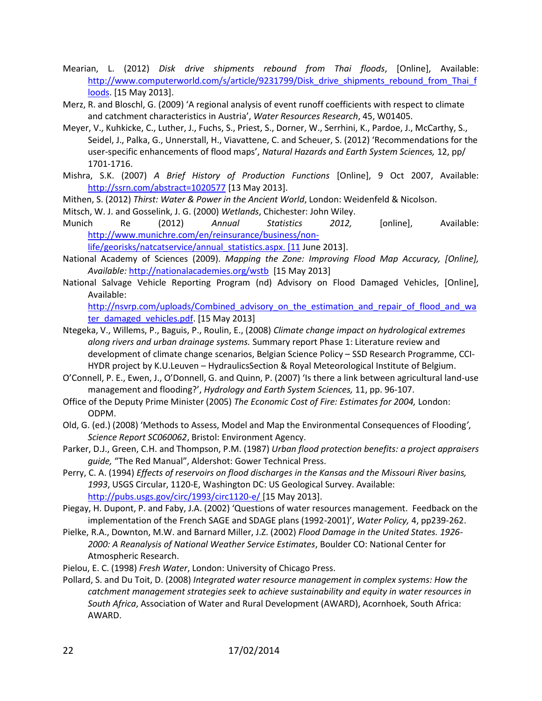- Mearian, L. (2012) *Disk drive shipments rebound from Thai floods*, [Online], Available: [http://www.computerworld.com/s/article/9231799/Disk\\_drive\\_shipments\\_rebound\\_from\\_Thai\\_f](http://www.computerworld.com/s/article/9231799/Disk_drive_shipments_rebound_from_Thai_floods_) [loods.](http://www.computerworld.com/s/article/9231799/Disk_drive_shipments_rebound_from_Thai_floods_) [15 May 2013].
- Merz, R. and Bloschl, G. (2009) 'A regional analysis of event runoff coefficients with respect to climate and catchment characteristics in Austria', *Water Resources Research*, 45, W01405.
- Meyer, V., Kuhkicke, C., Luther, J., Fuchs, S., Priest, S., Dorner, W., Serrhini, K., Pardoe, J., McCarthy, S., Seidel, J., Palka, G., Unnerstall, H., Viavattene, C. and Scheuer, S. (2012) 'Recommendations for the user-specific enhancements of flood maps', *Natural Hazards and Earth System Sciences,* 12, pp/ 1701-1716.
- Mishra, S.K. (2007) *A Brief History of Production Functions* [Online], 9 Oct 2007, Available: <http://ssrn.com/abstract=1020577> [13 May 2013].
- Mithen, S. (2012) *Thirst: Water & Power in the Ancient World*, London: Weidenfeld & Nicolson.
- Mitsch, W. J. and Gosselink, J. G. (2000) *Wetlands*, Chichester: John Wiley.
- Munich Re (2012) *Annual Statistics 2012,* [online], Available: [http://www.munichre.com/en/reinsurance/business/non](http://www.munichre.com/en/reinsurance/business/non-life/georisks/natcatservice/annual_statistics.aspx.%20%5b11)
	- life/georisks/natcatservice/annual statistics.aspx. [11 June 2013].
- National Academy of Sciences (2009). *Mapping the Zone: Improving Flood Map Accuracy, [Online], Available:* <http://nationalacademies.org/wstb>[15 May 2013]
- National Salvage Vehicle Reporting Program (nd) Advisory on Flood Damaged Vehicles, [Online], Available:

[http://nsvrp.com/uploads/Combined\\_advisory\\_on\\_the\\_estimation\\_and\\_repair\\_of\\_flood\\_and\\_wa](http://nsvrp.com/uploads/Combined_advisory_on_the_estimation_and_repair_of_flood_and_water_damaged_vehicles.pdf) [ter\\_damaged\\_vehicles.pdf.](http://nsvrp.com/uploads/Combined_advisory_on_the_estimation_and_repair_of_flood_and_water_damaged_vehicles.pdf) [15 May 2013]

- Ntegeka, V., Willems, P., Baguis, P., Roulin, E., (2008) *Climate change impact on hydrological extremes along rivers and urban drainage systems.* Summary report Phase 1: Literature review and development of climate change scenarios, Belgian Science Policy – SSD Research Programme, CCI-HYDR project by K.U.Leuven – HydraulicsSection & Royal Meteorological Institute of Belgium.
- O'Connell, P. E., Ewen, J., O'Donnell, G. and Quinn, P. (2007) 'Is there a link between agricultural land-use management and flooding?', *Hydrology and Earth System Sciences,* 11, pp. 96-107.
- Office of the Deputy Prime Minister (2005) *The Economic Cost of Fire: Estimates for 2004,* London: ODPM.
- Old, G. (ed.) (2008) 'Methods to Assess, Model and Map the Environmental Consequences of Flooding*'*, *Science Report SC060062*, Bristol: Environment Agency.
- Parker, D.J., Green, C.H. and Thompson, P.M. (1987) *Urban flood protection benefits: a project appraisers guide,* "The Red Manual", Aldershot: Gower Technical Press.
- Perry, C. A. (1994) *Effects of reservoirs on flood discharges in the Kansas and the Missouri River basins, 1993*, USGS Circular, 1120-E, Washington DC: US Geological Survey. Available: <http://pubs.usgs.gov/circ/1993/circ1120-e/> [15 May 2013].

Piegay, H. Dupont, P. and Faby, J.A. (2002) 'Questions of water resources management. Feedback on the implementation of the French SAGE and SDAGE plans (1992-2001)', *Water Policy,* 4, pp239-262.

- Pielke, R.A., Downton, M.W. and Barnard Miller, J.Z. (2002) *Flood Damage in the United States. 1926- 2000: A Reanalysis of National Weather Service Estimates*, Boulder CO: National Center for Atmospheric Research.
- Pielou, E. C. (1998) *Fresh Water*, London: University of Chicago Press.
- Pollard, S. and Du Toit, D. (2008) *Integrated water resource management in complex systems: How the catchment management strategies seek to achieve sustainability and equity in water resources in South Africa*, Association of Water and Rural Development (AWARD), Acornhoek, South Africa: AWARD.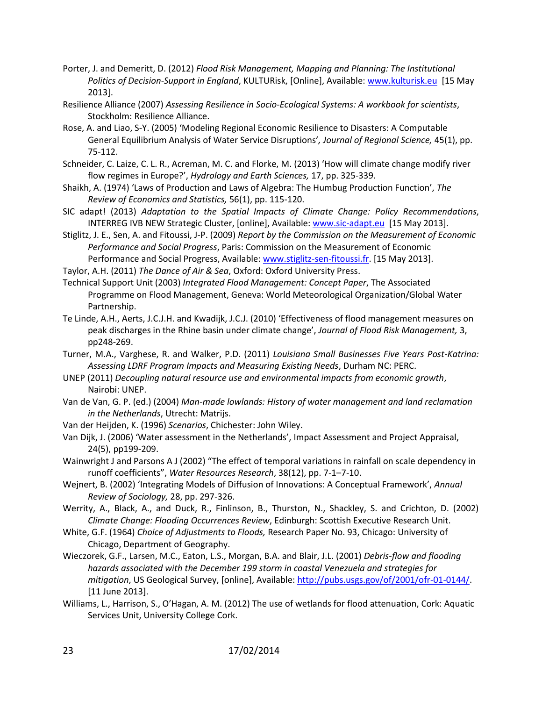- Porter, J. and Demeritt, D. (2012) *Flood Risk Management, Mapping and Planning: The Institutional Politics of Decision-Support in England*, KULTURisk, [Online], Available: [www.kulturisk.eu](http://www.kulturisk.eu/) [15 May 2013].
- Resilience Alliance (2007) *Assessing Resilience in Socio-Ecological Systems: A workbook for scientists*, Stockholm: Resilience Alliance.
- Rose, A. and Liao, S-Y. (2005) 'Modeling Regional Economic Resilience to Disasters: A Computable General Equilibrium Analysis of Water Service Disruptions'*, Journal of Regional Science,* 45(1), pp. 75-112.
- Schneider, C. Laize, C. L. R., Acreman, M. C. and Florke, M. (2013) 'How will climate change modify river flow regimes in Europe?', *Hydrology and Earth Sciences,* 17, pp. 325-339.
- Shaikh, A. (1974) 'Laws of Production and Laws of Algebra: The Humbug Production Function', *The Review of Economics and Statistics,* 56(1), pp. 115-120.
- SIC adapt! (2013) *Adaptation to the Spatial Impacts of Climate Change: Policy Recommendations*, INTERREG IVB NEW Strategic Cluster, [online], Available: [www.sic-adapt.eu](http://www.sic-adapt.eu/) [15 May 2013].
- Stiglitz, J. E., Sen, A. and Fitoussi, J-P. (2009) *Report by the Commission on the Measurement of Economic Performance and Social Progress*, Paris: Commission on the Measurement of Economic Performance and Social Progress, Available: [www.stiglitz-sen-fitoussi.fr.](http://www.stiglitz-sen-fitoussi.fr/) [15 May 2013].

Taylor, A.H. (2011) *The Dance of Air & Sea*, Oxford: Oxford University Press.

- Technical Support Unit (2003) *Integrated Flood Management: Concept Paper*, The Associated Programme on Flood Management, Geneva: World Meteorological Organization/Global Water Partnership.
- Te Linde, A.H., Aerts, J.C.J.H. and Kwadijk, J.C.J. (2010) 'Effectiveness of flood management measures on peak discharges in the Rhine basin under climate change', *Journal of Flood Risk Management,* 3, pp248-269.
- Turner, M.A., Varghese, R. and Walker, P.D. (2011) *Louisiana Small Businesses Five Years Post-Katrina: Assessing LDRF Program Impacts and Measuring Existing Needs*, Durham NC: PERC.
- UNEP (2011) *Decoupling natural resource use and environmental impacts from economic growth*, Nairobi: UNEP.
- Van de Van, G. P. (ed.) (2004) *Man-made lowlands: History of water management and land reclamation in the Netherlands*, Utrecht: Matrijs.
- Van der Heijden, K. (1996) *Scenarios*, Chichester: John Wiley.
- Van Dijk, J. (2006) 'Water assessment in the Netherlands', Impact Assessment and Project Appraisal, 24(5), pp199-209.
- Wainwright J and Parsons A J (2002) "The effect of temporal variations in rainfall on scale dependency in runoff coefficients", *Water Resources Research*, 38(12), pp. 7-1–7-10.
- Wejnert, B. (2002) 'Integrating Models of Diffusion of Innovations: A Conceptual Framework', *Annual Review of Sociology,* 28, pp. 297-326.
- Werrity, A., Black, A., and Duck, R., Finlinson, B., Thurston, N., Shackley, S. and Crichton, D. (2002) *Climate Change: Flooding Occurrences Review*, Edinburgh: Scottish Executive Research Unit.
- White, G.F. (1964) *Choice of Adjustments to Floods,* Research Paper No. 93, Chicago: University of Chicago, Department of Geography.
- Wieczorek, G.F., Larsen, M.C., Eaton, L.S., Morgan, B.A. and Blair, J.L. (2001) *Debris-flow and flooding hazards associated with the December 199 storm in coastal Venezuela and strategies for mitigation*, US Geological Survey, [online], Available: [http://pubs.usgs.gov/of/2001/ofr-01-0144/.](http://pubs.usgs.gov/of/2001/ofr-01-0144/) [11 June 2013].
- Williams, L., Harrison, S., O'Hagan, A. M. (2012) The use of wetlands for flood attenuation, Cork: Aquatic Services Unit, University College Cork.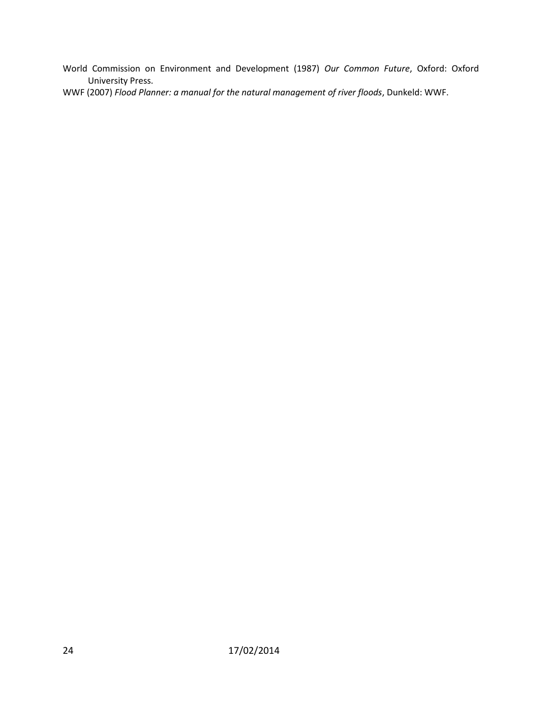World Commission on Environment and Development (1987) *Our Common Future*, Oxford: Oxford University Press.

WWF (2007) *Flood Planner: a manual for the natural management of river floods*, Dunkeld: WWF.